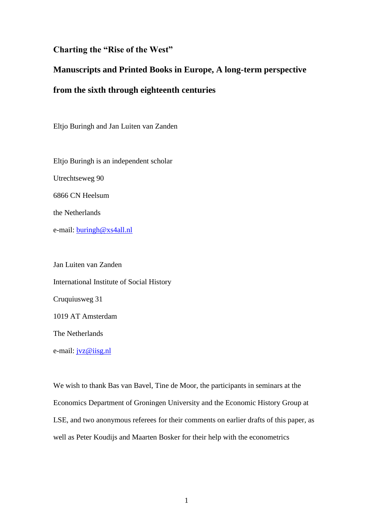### **Charting the "Rise of the West"**

# **Manuscripts and Printed Books in Europe, A long-term perspective**

## **from the sixth through eighteenth centuries**

Eltjo Buringh and Jan Luiten van Zanden

Eltjo Buringh is an independent scholar Utrechtseweg 90 6866 CN Heelsum the Netherlands e-mail: [buringh@xs4all.nl](mailto:buringh@xs4all.nl)

Jan Luiten van Zanden International Institute of Social History Cruquiusweg 31 1019 AT Amsterdam The Netherlands e-mail: [jvz@iisg.nl](mailto:jvz@iisg.nl)

We wish to thank Bas van Bavel, Tine de Moor, the participants in seminars at the Economics Department of Groningen University and the Economic History Group at LSE, and two anonymous referees for their comments on earlier drafts of this paper, as well as Peter Koudijs and Maarten Bosker for their help with the econometrics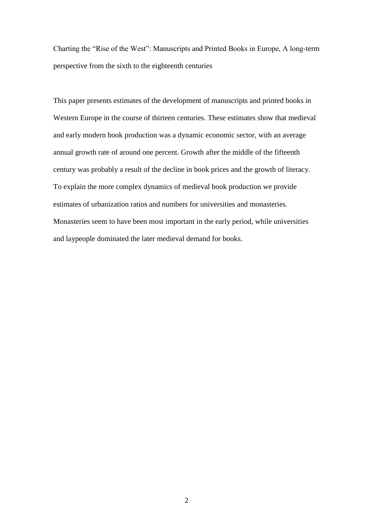Charting the "Rise of the West": Manuscripts and Printed Books in Europe, A long-term perspective from the sixth to the eighteenth centuries

This paper presents estimates of the development of manuscripts and printed books in Western Europe in the course of thirteen centuries. These estimates show that medieval and early modern book production was a dynamic economic sector, with an average annual growth rate of around one percent. Growth after the middle of the fifteenth century was probably a result of the decline in book prices and the growth of literacy. To explain the more complex dynamics of medieval book production we provide estimates of urbanization ratios and numbers for universities and monasteries. Monasteries seem to have been most important in the early period, while universities and laypeople dominated the later medieval demand for books.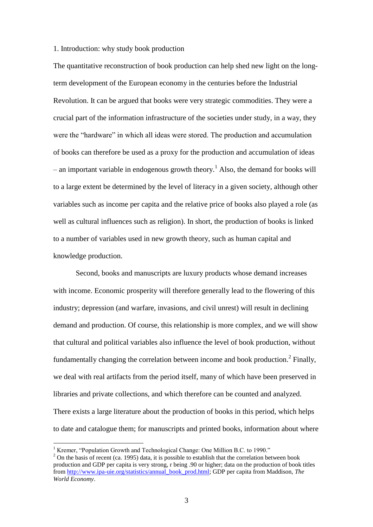### 1. Introduction: why study book production

The quantitative reconstruction of book production can help shed new light on the longterm development of the European economy in the centuries before the Industrial Revolution. It can be argued that books were very strategic commodities. They were a crucial part of the information infrastructure of the societies under study, in a way, they were the "hardware" in which all ideas were stored. The production and accumulation of books can therefore be used as a proxy for the production and accumulation of ideas – an important variable in endogenous growth theory.<sup>1</sup> Also, the demand for books will to a large extent be determined by the level of literacy in a given society, although other variables such as income per capita and the relative price of books also played a role (as well as cultural influences such as religion). In short, the production of books is linked to a number of variables used in new growth theory, such as human capital and knowledge production.

Second, books and manuscripts are luxury products whose demand increases with income. Economic prosperity will therefore generally lead to the flowering of this industry; depression (and warfare, invasions, and civil unrest) will result in declining demand and production. Of course, this relationship is more complex, and we will show that cultural and political variables also influence the level of book production, without fundamentally changing the correlation between income and book production.<sup>2</sup> Finally, we deal with real artifacts from the period itself, many of which have been preserved in libraries and private collections, and which therefore can be counted and analyzed. There exists a large literature about the production of books in this period, which helps to date and catalogue them; for manuscripts and printed books, information about where

<sup>&</sup>lt;sup>1</sup> Kremer, "Population Growth and Technological Change: One Million B.C. to 1990."

 $2$  On the basis of recent (ca. 1995) data, it is possible to establish that the correlation between book production and GDP per capita is very strong, r being .90 or higher; data on the production of book titles from [http://www.ipa-uie.org/statistics/annual\\_book\\_prod.html;](http://www.ipa-uie.org/statistics/annual_book_prod.html) GDP per capita from Maddison, *The World Economy*.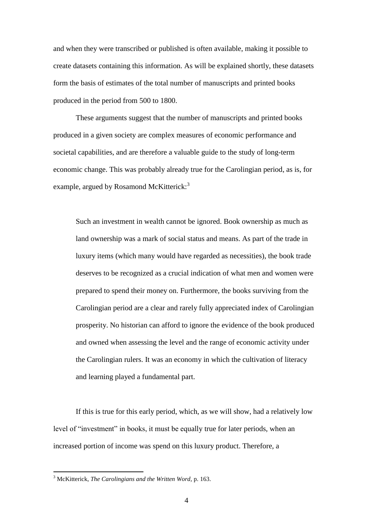and when they were transcribed or published is often available, making it possible to create datasets containing this information. As will be explained shortly, these datasets form the basis of estimates of the total number of manuscripts and printed books produced in the period from 500 to 1800.

These arguments suggest that the number of manuscripts and printed books produced in a given society are complex measures of economic performance and societal capabilities, and are therefore a valuable guide to the study of long-term economic change. This was probably already true for the Carolingian period, as is, for example, argued by Rosamond McKitterick:<sup>3</sup>

Such an investment in wealth cannot be ignored. Book ownership as much as land ownership was a mark of social status and means. As part of the trade in luxury items (which many would have regarded as necessities), the book trade deserves to be recognized as a crucial indication of what men and women were prepared to spend their money on. Furthermore, the books surviving from the Carolingian period are a clear and rarely fully appreciated index of Carolingian prosperity. No historian can afford to ignore the evidence of the book produced and owned when assessing the level and the range of economic activity under the Carolingian rulers. It was an economy in which the cultivation of literacy and learning played a fundamental part.

If this is true for this early period, which, as we will show, had a relatively low level of "investment" in books, it must be equally true for later periods, when an increased portion of income was spend on this luxury product. Therefore, a

1

<sup>3</sup> McKitterick, *The Carolingians and the Written Word,* p. 163.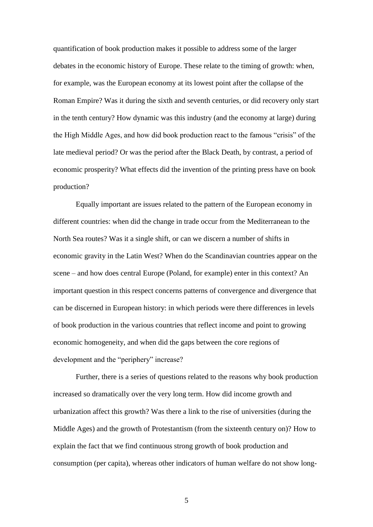quantification of book production makes it possible to address some of the larger debates in the economic history of Europe. These relate to the timing of growth: when, for example, was the European economy at its lowest point after the collapse of the Roman Empire? Was it during the sixth and seventh centuries, or did recovery only start in the tenth century? How dynamic was this industry (and the economy at large) during the High Middle Ages, and how did book production react to the famous "crisis" of the late medieval period? Or was the period after the Black Death, by contrast, a period of economic prosperity? What effects did the invention of the printing press have on book production?

Equally important are issues related to the pattern of the European economy in different countries: when did the change in trade occur from the Mediterranean to the North Sea routes? Was it a single shift, or can we discern a number of shifts in economic gravity in the Latin West? When do the Scandinavian countries appear on the scene – and how does central Europe (Poland, for example) enter in this context? An important question in this respect concerns patterns of convergence and divergence that can be discerned in European history: in which periods were there differences in levels of book production in the various countries that reflect income and point to growing economic homogeneity, and when did the gaps between the core regions of development and the "periphery" increase?

Further, there is a series of questions related to the reasons why book production increased so dramatically over the very long term. How did income growth and urbanization affect this growth? Was there a link to the rise of universities (during the Middle Ages) and the growth of Protestantism (from the sixteenth century on)? How to explain the fact that we find continuous strong growth of book production and consumption (per capita), whereas other indicators of human welfare do not show long-

5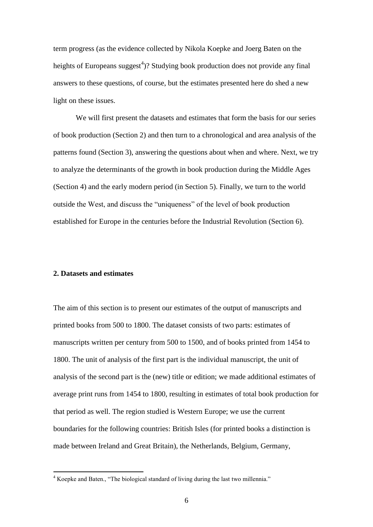term progress (as the evidence collected by Nikola Koepke and Joerg Baten on the heights of Europeans suggest<sup>4</sup>)? Studying book production does not provide any final answers to these questions, of course, but the estimates presented here do shed a new light on these issues.

We will first present the datasets and estimates that form the basis for our series of book production (Section 2) and then turn to a chronological and area analysis of the patterns found (Section 3), answering the questions about when and where. Next, we try to analyze the determinants of the growth in book production during the Middle Ages (Section 4) and the early modern period (in Section 5). Finally, we turn to the world outside the West, and discuss the "uniqueness" of the level of book production established for Europe in the centuries before the Industrial Revolution (Section 6).

### **2. Datasets and estimates**

1

The aim of this section is to present our estimates of the output of manuscripts and printed books from 500 to 1800. The dataset consists of two parts: estimates of manuscripts written per century from 500 to 1500, and of books printed from 1454 to 1800. The unit of analysis of the first part is the individual manuscript, the unit of analysis of the second part is the (new) title or edition; we made additional estimates of average print runs from 1454 to 1800, resulting in estimates of total book production for that period as well. The region studied is Western Europe; we use the current boundaries for the following countries: British Isles (for printed books a distinction is made between Ireland and Great Britain), the Netherlands, Belgium, Germany,

<sup>4</sup> Koepke and Baten., "The biological standard of living during the last two millennia."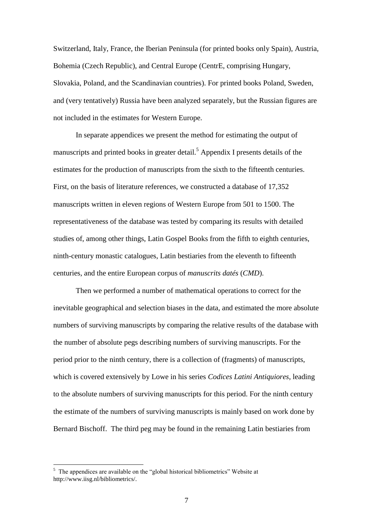Switzerland, Italy, France, the Iberian Peninsula (for printed books only Spain), Austria, Bohemia (Czech Republic), and Central Europe (CentrE, comprising Hungary, Slovakia, Poland, and the Scandinavian countries). For printed books Poland, Sweden, and (very tentatively) Russia have been analyzed separately, but the Russian figures are not included in the estimates for Western Europe.

In separate appendices we present the method for estimating the output of manuscripts and printed books in greater detail.<sup>5</sup> Appendix I presents details of the estimates for the production of manuscripts from the sixth to the fifteenth centuries. First, on the basis of literature references, we constructed a database of 17,352 manuscripts written in eleven regions of Western Europe from 501 to 1500. The representativeness of the database was tested by comparing its results with detailed studies of, among other things, Latin Gospel Books from the fifth to eighth centuries, ninth-century monastic catalogues, Latin bestiaries from the eleventh to fifteenth centuries, and the entire European corpus of *manuscrits datés* (*CMD*).

Then we performed a number of mathematical operations to correct for the inevitable geographical and selection biases in the data, and estimated the more absolute numbers of surviving manuscripts by comparing the relative results of the database with the number of absolute pegs describing numbers of surviving manuscripts. For the period prior to the ninth century, there is a collection of (fragments) of manuscripts, which is covered extensively by Lowe in his series *Codices Latini Antiquiores*, leading to the absolute numbers of surviving manuscripts for this period. For the ninth century the estimate of the numbers of surviving manuscripts is mainly based on work done by Bernard Bischoff. The third peg may be found in the remaining Latin bestiaries from

<sup>&</sup>lt;sup>5</sup> The appendices are available on the "global historical bibliometrics" Website at http://www.iisg.nl/bibliometrics/.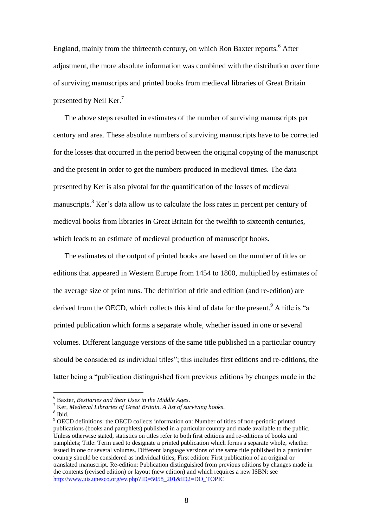England, mainly from the thirteenth century, on which Ron Baxter reports.<sup>6</sup> After adjustment, the more absolute information was combined with the distribution over time of surviving manuscripts and printed books from medieval libraries of Great Britain presented by Neil Ker.<sup>7</sup>

The above steps resulted in estimates of the number of surviving manuscripts per century and area. These absolute numbers of surviving manuscripts have to be corrected for the losses that occurred in the period between the original copying of the manuscript and the present in order to get the numbers produced in medieval times. The data presented by Ker is also pivotal for the quantification of the losses of medieval manuscripts.<sup>8</sup> Ker's data allow us to calculate the loss rates in percent per century of medieval books from libraries in Great Britain for the twelfth to sixteenth centuries, which leads to an estimate of medieval production of manuscript books.

The estimates of the output of printed books are based on the number of titles or editions that appeared in Western Europe from 1454 to 1800, multiplied by estimates of the average size of print runs. The definition of title and edition (and re-edition) are derived from the OECD, which collects this kind of data for the present.<sup>9</sup> A title is "a printed publication which forms a separate whole, whether issued in one or several volumes. Different language versions of the same title published in a particular country should be considered as individual titles"; this includes first editions and re-editions, the latter being a "publication distinguished from previous editions by changes made in the

<sup>6</sup> Baxter, *Bestiaries and their Uses in the Middle Ages*.

<sup>7</sup> Ker, *Medieval Libraries of Great Britain, A list of surviving books*.

<sup>8</sup> Ibid.

<sup>&</sup>lt;sup>9</sup> OECD definitions: the OECD collects information on: Number of titles of non-periodic printed publications (books and pamphlets) published in a particular country and made available to the public. Unless otherwise stated, statistics on titles refer to both first editions and re-editions of books and pamphlets; Title: Term used to designate a printed publication which forms a separate whole, whether issued in one or several volumes. Different language versions of the same title published in a particular country should be considered as individual titles; First edition: First publication of an original or translated manuscript. Re-edition: Publication distinguished from previous editions by changes made in the contents (revised edition) or layout (new edition) and which requires a new ISBN; see [http://www.uis.unesco.org/ev.php?ID=5058\\_201&ID2=DO\\_TOPIC](http://www.uis.unesco.org/ev.php?ID=5058_201&ID2=DO_TOPIC)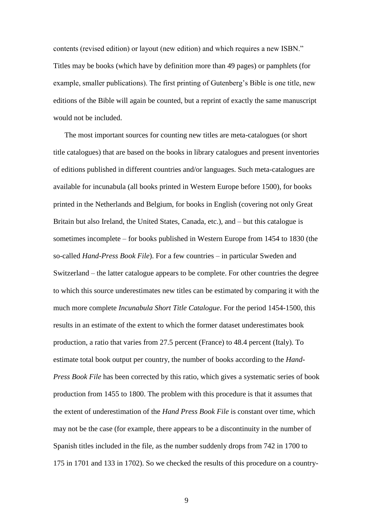contents (revised edition) or layout (new edition) and which requires a new ISBN." Titles may be books (which have by definition more than 49 pages) or pamphlets (for example, smaller publications). The first printing of Gutenberg's Bible is one title, new editions of the Bible will again be counted, but a reprint of exactly the same manuscript would not be included.

The most important sources for counting new titles are meta-catalogues (or short title catalogues) that are based on the books in library catalogues and present inventories of editions published in different countries and/or languages. Such meta-catalogues are available for incunabula (all books printed in Western Europe before 1500), for books printed in the Netherlands and Belgium, for books in English (covering not only Great Britain but also Ireland, the United States, Canada, etc.), and – but this catalogue is sometimes incomplete – for books published in Western Europe from 1454 to 1830 (the so-called *Hand-Press Book File*). For a few countries – in particular Sweden and Switzerland – the latter catalogue appears to be complete. For other countries the degree to which this source underestimates new titles can be estimated by comparing it with the much more complete *Incunabula Short Title Catalogue*. For the period 1454-1500, this results in an estimate of the extent to which the former dataset underestimates book production, a ratio that varies from 27.5 percent (France) to 48.4 percent (Italy). To estimate total book output per country, the number of books according to the *Hand-Press Book File* has been corrected by this ratio, which gives a systematic series of book production from 1455 to 1800. The problem with this procedure is that it assumes that the extent of underestimation of the *Hand Press Book File* is constant over time, which may not be the case (for example, there appears to be a discontinuity in the number of Spanish titles included in the file, as the number suddenly drops from 742 in 1700 to 175 in 1701 and 133 in 1702). So we checked the results of this procedure on a country-

9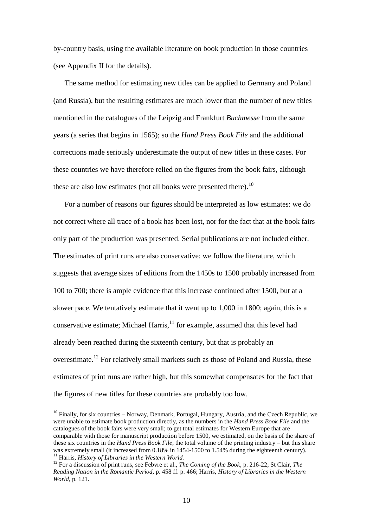by-country basis, using the available literature on book production in those countries (see Appendix II for the details).

The same method for estimating new titles can be applied to Germany and Poland (and Russia), but the resulting estimates are much lower than the number of new titles mentioned in the catalogues of the Leipzig and Frankfurt *Buchmesse* from the same years (a series that begins in 1565); so the *Hand Press Book File* and the additional corrections made seriously underestimate the output of new titles in these cases. For these countries we have therefore relied on the figures from the book fairs, although these are also low estimates (not all books were presented there).<sup>10</sup>

For a number of reasons our figures should be interpreted as low estimates: we do not correct where all trace of a book has been lost, nor for the fact that at the book fairs only part of the production was presented. Serial publications are not included either. The estimates of print runs are also conservative: we follow the literature, which suggests that average sizes of editions from the 1450s to 1500 probably increased from 100 to 700; there is ample evidence that this increase continued after 1500, but at a slower pace. We tentatively estimate that it went up to 1,000 in 1800; again, this is a conservative estimate; Michael Harris, $<sup>11</sup>$  for example, assumed that this level had</sup> already been reached during the sixteenth century, but that is probably an overestimate.<sup>12</sup> For relatively small markets such as those of Poland and Russia, these estimates of print runs are rather high, but this somewhat compensates for the fact that the figures of new titles for these countries are probably too low.

<sup>&</sup>lt;sup>10</sup> Finally, for six countries – Norway, Denmark, Portugal, Hungary, Austria, and the Czech Republic, we were unable to estimate book production directly, as the numbers in the *Hand Press Book File* and the catalogues of the book fairs were very small; to get total estimates for Western Europe that are comparable with those for manuscript production before 1500, we estimated, on the basis of the share of these six countries in the *Hand Press Book File*, the total volume of the printing industry – but this share was extremely small (it increased from 0.18% in 1454-1500 to 1.54% during the eighteenth century). <sup>11</sup> Harris, *History of Libraries in the Western World.* 

<sup>12</sup> For a discussion of print runs, see Febvre et al., *The Coming of the Book*, p. 216-22; St Clair, *The Reading Nation in the Romantic Period*, p. 458 ff. p. 466; Harris, *History of Libraries in the Western World*, p. 121.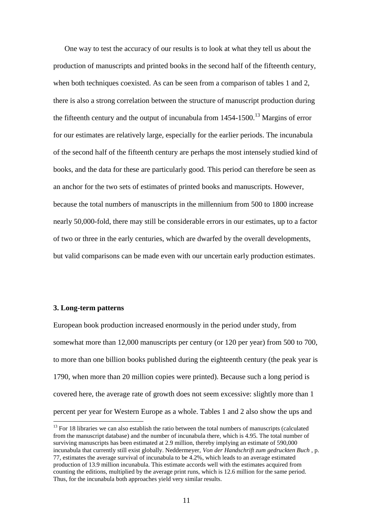One way to test the accuracy of our results is to look at what they tell us about the production of manuscripts and printed books in the second half of the fifteenth century, when both techniques coexisted. As can be seen from a comparison of tables 1 and 2, there is also a strong correlation between the structure of manuscript production during the fifteenth century and the output of incunabula from  $1454-1500$ .<sup>13</sup> Margins of error for our estimates are relatively large, especially for the earlier periods. The incunabula of the second half of the fifteenth century are perhaps the most intensely studied kind of books, and the data for these are particularly good. This period can therefore be seen as an anchor for the two sets of estimates of printed books and manuscripts. However, because the total numbers of manuscripts in the millennium from 500 to 1800 increase nearly 50,000-fold, there may still be considerable errors in our estimates, up to a factor of two or three in the early centuries, which are dwarfed by the overall developments, but valid comparisons can be made even with our uncertain early production estimates.

#### **3. Long-term patterns**

<u>.</u>

European book production increased enormously in the period under study, from somewhat more than 12,000 manuscripts per century (or 120 per year) from 500 to 700, to more than one billion books published during the eighteenth century (the peak year is 1790, when more than 20 million copies were printed). Because such a long period is covered here, the average rate of growth does not seem excessive: slightly more than 1 percent per year for Western Europe as a whole. Tables 1 and 2 also show the ups and

 $13$  For 18 libraries we can also establish the ratio between the total numbers of manuscripts (calculated from the manuscript database) and the number of incunabula there, which is 4.95. The total number of surviving manuscripts has been estimated at 2.9 million, thereby implying an estimate of 590,000 incunabula that currently still exist globally. Neddermeyer, *Von der Handschrift zum gedruckten Buch* , p. 77, estimates the average survival of incunabula to be 4.2%, which leads to an average estimated production of 13.9 million incunabula. This estimate accords well with the estimates acquired from counting the editions, multiplied by the average print runs, which is 12.6 million for the same period. Thus, for the incunabula both approaches yield very similar results.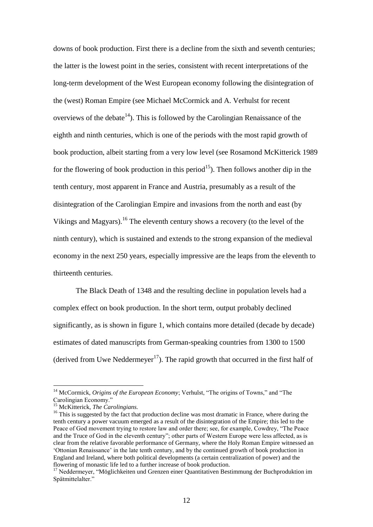downs of book production. First there is a decline from the sixth and seventh centuries; the latter is the lowest point in the series, consistent with recent interpretations of the long-term development of the West European economy following the disintegration of the (west) Roman Empire (see Michael McCormick and A. Verhulst for recent overviews of the debate<sup>14</sup>). This is followed by the Carolingian Renaissance of the eighth and ninth centuries, which is one of the periods with the most rapid growth of book production, albeit starting from a very low level (see Rosamond McKitterick 1989 for the flowering of book production in this period<sup>15</sup>). Then follows another dip in the tenth century, most apparent in France and Austria, presumably as a result of the disintegration of the Carolingian Empire and invasions from the north and east (by Vikings and Magyars).<sup>16</sup> The eleventh century shows a recovery (to the level of the ninth century), which is sustained and extends to the strong expansion of the medieval economy in the next 250 years, especially impressive are the leaps from the eleventh to thirteenth centuries.

The Black Death of 1348 and the resulting decline in population levels had a complex effect on book production. In the short term, output probably declined significantly, as is shown in figure 1, which contains more detailed (decade by decade) estimates of dated manuscripts from German-speaking countries from 1300 to 1500 (derived from Uwe Neddermeyer<sup>17</sup>). The rapid growth that occurred in the first half of

<sup>&</sup>lt;sup>14</sup> McCormick, *Origins of the European Economy*; Verhulst, "The origins of Towns," and "The Carolingian Economy."

<sup>15</sup> McKitterick, *The Carolingians.*

<sup>&</sup>lt;sup>16</sup> This is suggested by the fact that production decline was most dramatic in France, where during the tenth century a power vacuum emerged as a result of the disintegration of the Empire; this led to the Peace of God movement trying to restore law and order there; see, for example, Cowdrey, "The Peace and the Truce of God in the eleventh century"; other parts of Western Europe were less affected, as is clear from the relative favorable performance of Germany, where the Holy Roman Empire witnessed an "Ottonian Renaissance" in the late tenth century, and by the continued growth of book production in England and Ireland, where both political developments (a certain centralization of power) and the flowering of monastic life led to a further increase of book production.

<sup>&</sup>lt;sup>17</sup> Neddermeyer, "Möglichkeiten und Grenzen einer Quantitativen Bestimmung der Buchproduktion im Spätmittelalter."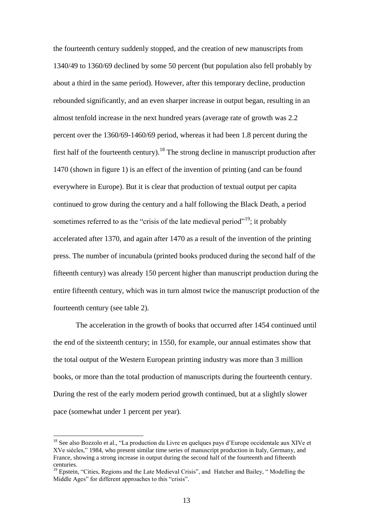the fourteenth century suddenly stopped, and the creation of new manuscripts from 1340/49 to 1360/69 declined by some 50 percent (but population also fell probably by about a third in the same period). However, after this temporary decline, production rebounded significantly, and an even sharper increase in output began, resulting in an almost tenfold increase in the next hundred years (average rate of growth was 2.2 percent over the 1360/69-1460/69 period, whereas it had been 1.8 percent during the first half of the fourteenth century).<sup>18</sup> The strong decline in manuscript production after 1470 (shown in figure 1) is an effect of the invention of printing (and can be found everywhere in Europe). But it is clear that production of textual output per capita continued to grow during the century and a half following the Black Death, a period sometimes referred to as the "crisis of the late medieval period"<sup>19</sup>; it probably accelerated after 1370, and again after 1470 as a result of the invention of the printing press. The number of incunabula (printed books produced during the second half of the fifteenth century) was already 150 percent higher than manuscript production during the entire fifteenth century, which was in turn almost twice the manuscript production of the fourteenth century (see table 2).

The acceleration in the growth of books that occurred after 1454 continued until the end of the sixteenth century; in 1550, for example, our annual estimates show that the total output of the Western European printing industry was more than 3 million books, or more than the total production of manuscripts during the fourteenth century. During the rest of the early modern period growth continued, but at a slightly slower pace (somewhat under 1 percent per year).

1

<sup>&</sup>lt;sup>18</sup> See also Bozzolo et al., "La production du Livre en quelques pays d'Europe occidentale aux XIVe et XVe siècles," 1984, who present similar time series of manuscript production in Italy, Germany, and France, showing a strong increase in output during the second half of the fourteenth and fifteenth centuries.

 $<sup>19</sup>$  Epstein, "Cities, Regions and the Late Medieval Crisis", and Hatcher and Bailey, "Modelling the</sup> Middle Ages" for different approaches to this "crisis".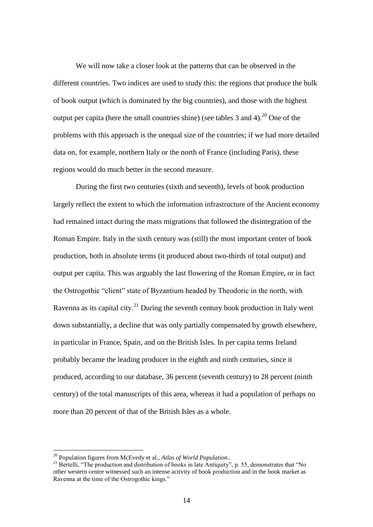We will now take a closer look at the patterns that can be observed in the different countries. Two indices are used to study this: the regions that produce the bulk of book output (which is dominated by the big countries), and those with the highest output per capita (here the small countries shine) (see tables 3 and 4).<sup>20</sup> One of the problems with this approach is the unequal size of the countries; if we had more detailed data on, for example, northern Italy or the north of France (including Paris), these regions would do much better in the second measure.

During the first two centuries (sixth and seventh), levels of book production largely reflect the extent to which the information infrastructure of the Ancient economy had remained intact during the mass migrations that followed the disintegration of the Roman Empire. Italy in the sixth century was (still) the most important center of book production, both in absolute terms (it produced about two-thirds of total output) and output per capita. This was arguably the last flowering of the Roman Empire, or in fact the Ostrogothic "client" state of Byzantium headed by Theodoric in the north, with Ravenna as its capital city.<sup>21</sup> During the seventh century book production in Italy went down substantially, a decline that was only partially compensated by growth elsewhere, in particular in France, Spain, and on the British Isles. In per capita terms Ireland probably became the leading producer in the eighth and ninth centuries, since it produced, according to our database, 36 percent (seventh century) to 28 percent (ninth century) of the total manuscripts of this area, whereas it had a population of perhaps no more than 20 percent of that of the British Isles as a whole.

<sup>20</sup> Population figures from McEvedy et al., *Atlas of World Population*..

<sup>&</sup>lt;sup>21</sup> Bertelli, "The production and distribution of books in late Antiquity", p. 55, demonstrates that "No other western centre witnessed such an intense activity of book production and in the book market as Ravenna at the time of the Ostrogothic kings."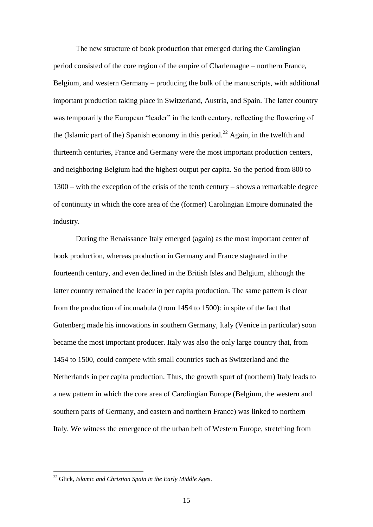The new structure of book production that emerged during the Carolingian period consisted of the core region of the empire of Charlemagne – northern France, Belgium, and western Germany – producing the bulk of the manuscripts, with additional important production taking place in Switzerland, Austria, and Spain. The latter country was temporarily the European "leader" in the tenth century, reflecting the flowering of the (Islamic part of the) Spanish economy in this period.<sup>22</sup> Again, in the twelfth and thirteenth centuries, France and Germany were the most important production centers, and neighboring Belgium had the highest output per capita. So the period from 800 to 1300 – with the exception of the crisis of the tenth century – shows a remarkable degree of continuity in which the core area of the (former) Carolingian Empire dominated the industry.

During the Renaissance Italy emerged (again) as the most important center of book production, whereas production in Germany and France stagnated in the fourteenth century, and even declined in the British Isles and Belgium, although the latter country remained the leader in per capita production. The same pattern is clear from the production of incunabula (from 1454 to 1500): in spite of the fact that Gutenberg made his innovations in southern Germany, Italy (Venice in particular) soon became the most important producer. Italy was also the only large country that, from 1454 to 1500, could compete with small countries such as Switzerland and the Netherlands in per capita production. Thus, the growth spurt of (northern) Italy leads to a new pattern in which the core area of Carolingian Europe (Belgium, the western and southern parts of Germany, and eastern and northern France) was linked to northern Italy. We witness the emergence of the urban belt of Western Europe, stretching from

1

<sup>22</sup> Glick, *Islamic and Christian Spain in the Early Middle Ages*.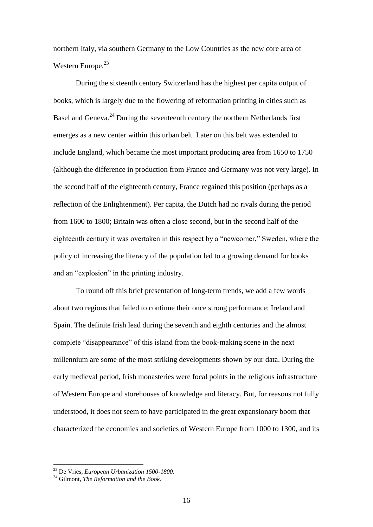northern Italy, via southern Germany to the Low Countries as the new core area of Western Europe.<sup>23</sup>

During the sixteenth century Switzerland has the highest per capita output of books, which is largely due to the flowering of reformation printing in cities such as Basel and Geneva.<sup>24</sup> During the seventeenth century the northern Netherlands first emerges as a new center within this urban belt. Later on this belt was extended to include England, which became the most important producing area from 1650 to 1750 (although the difference in production from France and Germany was not very large). In the second half of the eighteenth century, France regained this position (perhaps as a reflection of the Enlightenment). Per capita, the Dutch had no rivals during the period from 1600 to 1800; Britain was often a close second, but in the second half of the eighteenth century it was overtaken in this respect by a "newcomer," Sweden, where the policy of increasing the literacy of the population led to a growing demand for books and an "explosion" in the printing industry.

To round off this brief presentation of long-term trends, we add a few words about two regions that failed to continue their once strong performance: Ireland and Spain. The definite Irish lead during the seventh and eighth centuries and the almost complete "disappearance" of this island from the book-making scene in the next millennium are some of the most striking developments shown by our data. During the early medieval period, Irish monasteries were focal points in the religious infrastructure of Western Europe and storehouses of knowledge and literacy. But, for reasons not fully understood, it does not seem to have participated in the great expansionary boom that characterized the economies and societies of Western Europe from 1000 to 1300, and its

<sup>23</sup> De Vries, *European Urbanization 1500-1800*.

<sup>24</sup> Gilmont, *The Reformation and the Book*.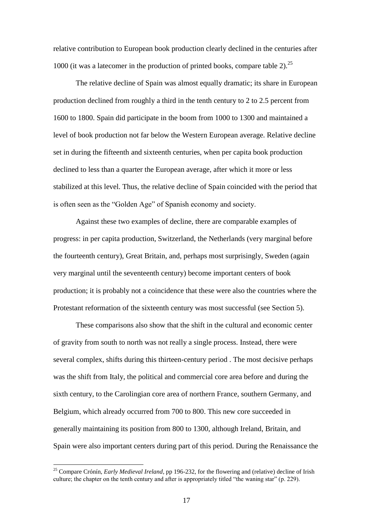relative contribution to European book production clearly declined in the centuries after 1000 (it was a latecomer in the production of printed books, compare table 2).<sup>25</sup>

The relative decline of Spain was almost equally dramatic; its share in European production declined from roughly a third in the tenth century to 2 to 2.5 percent from 1600 to 1800. Spain did participate in the boom from 1000 to 1300 and maintained a level of book production not far below the Western European average. Relative decline set in during the fifteenth and sixteenth centuries, when per capita book production declined to less than a quarter the European average, after which it more or less stabilized at this level. Thus, the relative decline of Spain coincided with the period that is often seen as the "Golden Age" of Spanish economy and society.

Against these two examples of decline, there are comparable examples of progress: in per capita production, Switzerland, the Netherlands (very marginal before the fourteenth century), Great Britain, and, perhaps most surprisingly, Sweden (again very marginal until the seventeenth century) become important centers of book production; it is probably not a coincidence that these were also the countries where the Protestant reformation of the sixteenth century was most successful (see Section 5).

These comparisons also show that the shift in the cultural and economic center of gravity from south to north was not really a single process. Instead, there were several complex, shifts during this thirteen-century period . The most decisive perhaps was the shift from Italy, the political and commercial core area before and during the sixth century, to the Carolingian core area of northern France, southern Germany, and Belgium, which already occurred from 700 to 800. This new core succeeded in generally maintaining its position from 800 to 1300, although Ireland, Britain, and Spain were also important centers during part of this period. During the Renaissance the

<sup>&</sup>lt;sup>25</sup> Compare Crónín, *Early Medieval Ireland*, pp 196-232, for the flowering and (relative) decline of Irish culture; the chapter on the tenth century and after is appropriately titled "the waning star" (p. 229).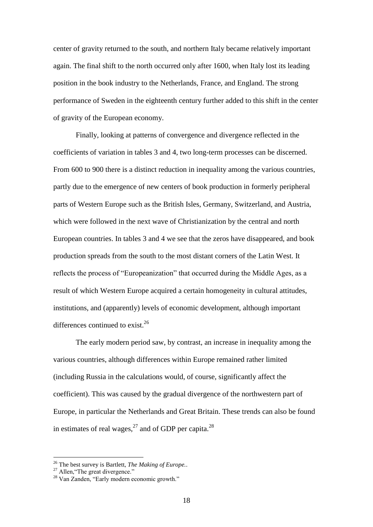center of gravity returned to the south, and northern Italy became relatively important again. The final shift to the north occurred only after 1600, when Italy lost its leading position in the book industry to the Netherlands, France, and England. The strong performance of Sweden in the eighteenth century further added to this shift in the center of gravity of the European economy.

Finally, looking at patterns of convergence and divergence reflected in the coefficients of variation in tables 3 and 4, two long-term processes can be discerned. From 600 to 900 there is a distinct reduction in inequality among the various countries, partly due to the emergence of new centers of book production in formerly peripheral parts of Western Europe such as the British Isles, Germany, Switzerland, and Austria, which were followed in the next wave of Christianization by the central and north European countries. In tables 3 and 4 we see that the zeros have disappeared, and book production spreads from the south to the most distant corners of the Latin West. It reflects the process of "Europeanization" that occurred during the Middle Ages, as a result of which Western Europe acquired a certain homogeneity in cultural attitudes, institutions, and (apparently) levels of economic development, although important differences continued to exist. $^{26}$ 

The early modern period saw, by contrast, an increase in inequality among the various countries, although differences within Europe remained rather limited (including Russia in the calculations would, of course, significantly affect the coefficient). This was caused by the gradual divergence of the northwestern part of Europe, in particular the Netherlands and Great Britain. These trends can also be found in estimates of real wages, $^{27}$  and of GDP per capita.<sup>28</sup>

<sup>26</sup> The best survey is Bartlett, *The Making of Europe.*.

 $27$  Allen, "The great divergence."

<sup>&</sup>lt;sup>28</sup> Van Zanden, "Early modern economic growth."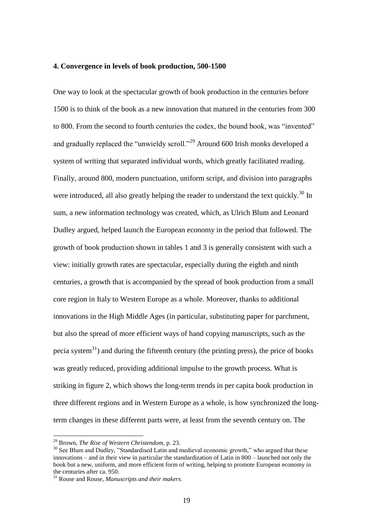### **4. Convergence in levels of book production, 500-1500**

One way to look at the spectacular growth of book production in the centuries before 1500 is to think of the book as a new innovation that matured in the centuries from 300 to 800. From the second to fourth centuries the codex, the bound book, was "invented" and gradually replaced the "unwieldy scroll."<sup>29</sup> Around 600 Irish monks developed a system of writing that separated individual words, which greatly facilitated reading. Finally, around 800, modern punctuation, uniform script, and division into paragraphs were introduced, all also greatly helping the reader to understand the text quickly.<sup>30</sup> In sum, a new information technology was created, which, as Ulrich Blum and Leonard Dudley argued, helped launch the European economy in the period that followed. The growth of book production shown in tables 1 and 3 is generally consistent with such a view: initially growth rates are spectacular, especially during the eighth and ninth centuries, a growth that is accompanied by the spread of book production from a small core region in Italy to Western Europe as a whole. Moreover, thanks to additional innovations in the High Middle Ages (in particular, substituting paper for parchment, but also the spread of more efficient ways of hand copying manuscripts, such as the pecia system $31$ ) and during the fifteenth century (the printing press), the price of books was greatly reduced, providing additional impulse to the growth process. What is striking in figure 2, which shows the long-term trends in per capita book production in three different regions and in Western Europe as a whole, is how synchronized the longterm changes in these different parts were, at least from the seventh century on. The

1

<sup>29</sup> Brown, *The Rise of Western Christendom,* p. 23.

<sup>&</sup>lt;sup>30</sup> See Blum and Dudley, "Standardised Latin and medieval economic growth," who argued that these innovations – and in their view in particular the standardization of Latin in 800 – launched not only the book but a new, uniform, and more efficient form of writing, helping to promote European economy in the centuries after ca. 950.

<sup>31</sup> Rouse and Rouse, *Manuscripts and their makers*.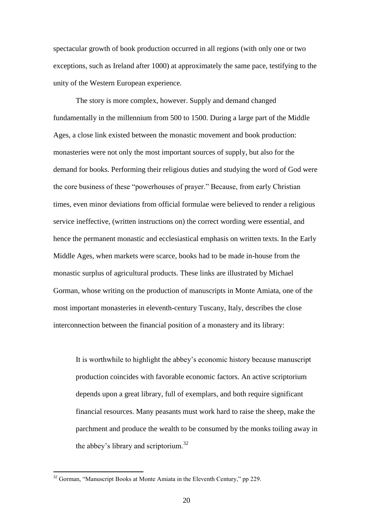spectacular growth of book production occurred in all regions (with only one or two exceptions, such as Ireland after 1000) at approximately the same pace, testifying to the unity of the Western European experience.

The story is more complex, however. Supply and demand changed fundamentally in the millennium from 500 to 1500. During a large part of the Middle Ages, a close link existed between the monastic movement and book production: monasteries were not only the most important sources of supply, but also for the demand for books. Performing their religious duties and studying the word of God were the core business of these "powerhouses of prayer." Because, from early Christian times, even minor deviations from official formulae were believed to render a religious service ineffective, (written instructions on) the correct wording were essential, and hence the permanent monastic and ecclesiastical emphasis on written texts. In the Early Middle Ages, when markets were scarce, books had to be made in-house from the monastic surplus of agricultural products. These links are illustrated by Michael Gorman, whose writing on the production of manuscripts in Monte Amiata, one of the most important monasteries in eleventh-century Tuscany, Italy, describes the close interconnection between the financial position of a monastery and its library:

It is worthwhile to highlight the abbey"s economic history because manuscript production coincides with favorable economic factors. An active scriptorium depends upon a great library, full of exemplars, and both require significant financial resources. Many peasants must work hard to raise the sheep, make the parchment and produce the wealth to be consumed by the monks toiling away in the abbey's library and scriptorium. $32$ 

1

<sup>&</sup>lt;sup>32</sup> Gorman, "Manuscript Books at Monte Amiata in the Eleventh Century," pp 229.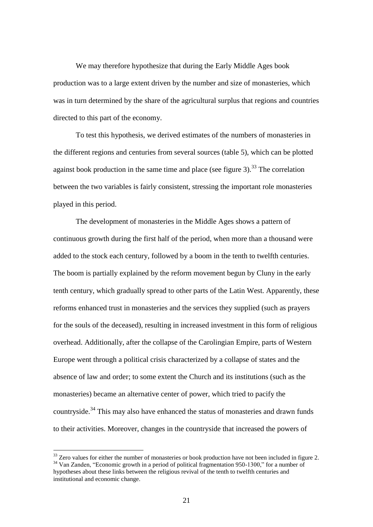We may therefore hypothesize that during the Early Middle Ages book production was to a large extent driven by the number and size of monasteries, which was in turn determined by the share of the agricultural surplus that regions and countries directed to this part of the economy.

To test this hypothesis, we derived estimates of the numbers of monasteries in the different regions and centuries from several sources (table 5), which can be plotted against book production in the same time and place (see figure 3).<sup>33</sup> The correlation between the two variables is fairly consistent, stressing the important role monasteries played in this period.

The development of monasteries in the Middle Ages shows a pattern of continuous growth during the first half of the period, when more than a thousand were added to the stock each century, followed by a boom in the tenth to twelfth centuries. The boom is partially explained by the reform movement begun by Cluny in the early tenth century, which gradually spread to other parts of the Latin West. Apparently, these reforms enhanced trust in monasteries and the services they supplied (such as prayers for the souls of the deceased), resulting in increased investment in this form of religious overhead. Additionally, after the collapse of the Carolingian Empire, parts of Western Europe went through a political crisis characterized by a collapse of states and the absence of law and order; to some extent the Church and its institutions (such as the monasteries) became an alternative center of power, which tried to pacify the countryside.<sup>34</sup> This may also have enhanced the status of monasteries and drawn funds to their activities. Moreover, changes in the countryside that increased the powers of

 $33$  Zero values for either the number of monasteries or book production have not been included in figure 2. <sup>34</sup> Van Zanden, "Economic growth in a period of political fragmentation 950-1300," for a number of hypotheses about these links between the religious revival of the tenth to twelfth centuries and institutional and economic change.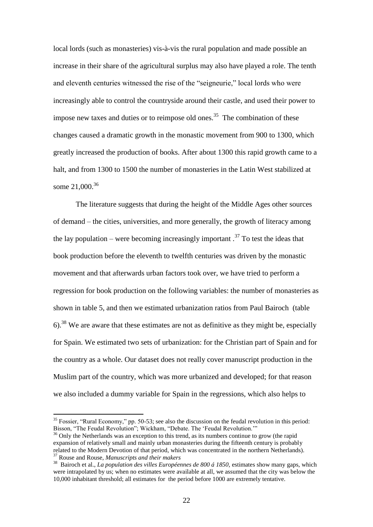local lords (such as monasteries) vis-à-vis the rural population and made possible an increase in their share of the agricultural surplus may also have played a role. The tenth and eleventh centuries witnessed the rise of the "seigneurie," local lords who were increasingly able to control the countryside around their castle, and used their power to impose new taxes and duties or to reimpose old ones.<sup>35</sup> The combination of these changes caused a dramatic growth in the monastic movement from 900 to 1300, which greatly increased the production of books. After about 1300 this rapid growth came to a halt, and from 1300 to 1500 the number of monasteries in the Latin West stabilized at some 21,000.<sup>36</sup>

The literature suggests that during the height of the Middle Ages other sources of demand – the cities, universities, and more generally, the growth of literacy among the lay population – were becoming increasingly important  $^{37}$  To test the ideas that book production before the eleventh to twelfth centuries was driven by the monastic movement and that afterwards urban factors took over, we have tried to perform a regression for book production on the following variables: the number of monasteries as shown in table 5, and then we estimated urbanization ratios from Paul Bairoch (table  $6$ ).<sup>38</sup> We are aware that these estimates are not as definitive as they might be, especially for Spain. We estimated two sets of urbanization: for the Christian part of Spain and for the country as a whole. Our dataset does not really cover manuscript production in the Muslim part of the country, which was more urbanized and developed; for that reason we also included a dummy variable for Spain in the regressions, which also helps to

 $35$  Fossier, "Rural Economy," pp. 50-53; see also the discussion on the feudal revolution in this period: Bisson, "The Feudal Revolution"; Wickham, "Debate. The "Feudal Revolution.""

<sup>&</sup>lt;sup>36</sup> Only the Netherlands was an exception to this trend, as its numbers continue to grow (the rapid expansion of relatively small and mainly urban monasteries during the fifteenth century is probably related to the Modern Devotion of that period, which was concentrated in the northern Netherlands). <sup>37</sup> Rouse and Rouse, *Manuscripts and their makers*

<sup>38</sup> Bairoch et al., *La population des villes Européennes de 800 á 1850,* estimates show many gaps, which were intrapolated by us; when no estimates were available at all, we assumed that the city was below the 10,000 inhabitant threshold; all estimates for the period before 1000 are extremely tentative.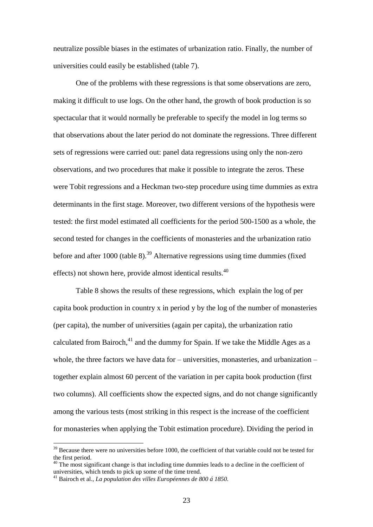neutralize possible biases in the estimates of urbanization ratio. Finally, the number of universities could easily be established (table 7).

One of the problems with these regressions is that some observations are zero, making it difficult to use logs. On the other hand, the growth of book production is so spectacular that it would normally be preferable to specify the model in log terms so that observations about the later period do not dominate the regressions. Three different sets of regressions were carried out: panel data regressions using only the non-zero observations, and two procedures that make it possible to integrate the zeros. These were Tobit regressions and a Heckman two-step procedure using time dummies as extra determinants in the first stage. Moreover, two different versions of the hypothesis were tested: the first model estimated all coefficients for the period 500-1500 as a whole, the second tested for changes in the coefficients of monasteries and the urbanization ratio before and after 1000 (table  $8$ ).<sup>39</sup> Alternative regressions using time dummies (fixed effects) not shown here, provide almost identical results.<sup>40</sup>

Table 8 shows the results of these regressions, which explain the log of per capita book production in country x in period y by the log of the number of monasteries (per capita), the number of universities (again per capita), the urbanization ratio calculated from Bairoch, $^{41}$  and the dummy for Spain. If we take the Middle Ages as a whole, the three factors we have data for  $-$  universities, monasteries, and urbanization  $$ together explain almost 60 percent of the variation in per capita book production (first two columns). All coefficients show the expected signs, and do not change significantly among the various tests (most striking in this respect is the increase of the coefficient for monasteries when applying the Tobit estimation procedure). Dividing the period in

<sup>&</sup>lt;sup>39</sup> Because there were no universities before 1000, the coefficient of that variable could not be tested for the first period.

 $40$  The most significant change is that including time dummies leads to a decline in the coefficient of universities, which tends to pick up some of the time trend.

<sup>41</sup> Bairoch et al., *La population des villes Européennes de 800 á 1850.*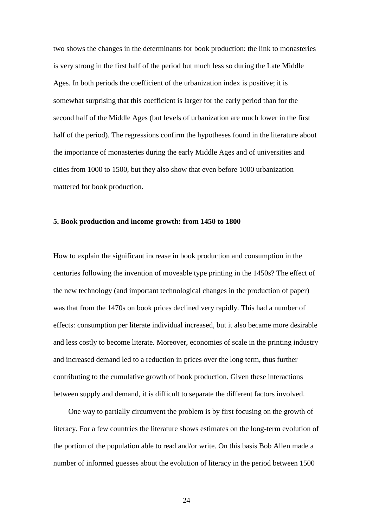two shows the changes in the determinants for book production: the link to monasteries is very strong in the first half of the period but much less so during the Late Middle Ages. In both periods the coefficient of the urbanization index is positive; it is somewhat surprising that this coefficient is larger for the early period than for the second half of the Middle Ages (but levels of urbanization are much lower in the first half of the period). The regressions confirm the hypotheses found in the literature about the importance of monasteries during the early Middle Ages and of universities and cities from 1000 to 1500, but they also show that even before 1000 urbanization mattered for book production.

#### **5. Book production and income growth: from 1450 to 1800**

How to explain the significant increase in book production and consumption in the centuries following the invention of moveable type printing in the 1450s? The effect of the new technology (and important technological changes in the production of paper) was that from the 1470s on book prices declined very rapidly. This had a number of effects: consumption per literate individual increased, but it also became more desirable and less costly to become literate. Moreover, economies of scale in the printing industry and increased demand led to a reduction in prices over the long term, thus further contributing to the cumulative growth of book production. Given these interactions between supply and demand, it is difficult to separate the different factors involved.

One way to partially circumvent the problem is by first focusing on the growth of literacy. For a few countries the literature shows estimates on the long-term evolution of the portion of the population able to read and/or write. On this basis Bob Allen made a number of informed guesses about the evolution of literacy in the period between 1500

24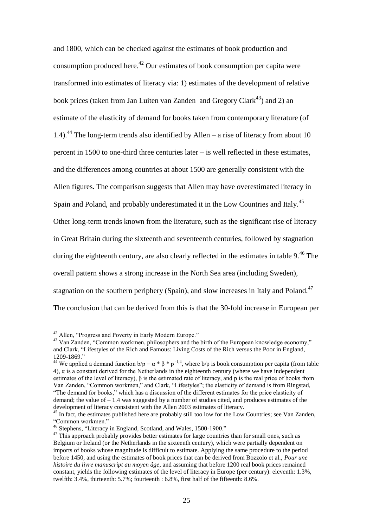and 1800, which can be checked against the estimates of book production and consumption produced here.<sup>42</sup> Our estimates of book consumption per capita were transformed into estimates of literacy via: 1) estimates of the development of relative book prices (taken from Jan Luiten van Zanden and Gregory Clark<sup>43</sup>) and 2) an estimate of the elasticity of demand for books taken from contemporary literature (of 1.4).<sup>44</sup> The long-term trends also identified by Allen – a rise of literacy from about 10 percent in 1500 to one-third three centuries later – is well reflected in these estimates, and the differences among countries at about 1500 are generally consistent with the Allen figures. The comparison suggests that Allen may have overestimated literacy in Spain and Poland, and probably underestimated it in the Low Countries and Italy.<sup>45</sup> Other long-term trends known from the literature, such as the significant rise of literacy in Great Britain during the sixteenth and seventeenth centuries, followed by stagnation during the eighteenth century, are also clearly reflected in the estimates in table  $9<sup>46</sup>$ . The overall pattern shows a strong increase in the North Sea area (including Sweden), stagnation on the southern periphery (Spain), and slow increases in Italy and Poland. $47$ The conclusion that can be derived from this is that the 30-fold increase in European per

-

<sup>&</sup>lt;sup>42</sup> Allen, "Progress and Poverty in Early Modern Europe."

<sup>&</sup>lt;sup>43</sup> Van Zanden, "Common workmen, philosophers and the birth of the European knowledge economy," and Clark, ["Lifestyles of the Rich and Famous: Living Costs of the Rich versus the Poor in England,](http://www.iisg.nl/hpw/papers/clark.pdf)  [1209-1869.](http://www.iisg.nl/hpw/papers/clark.pdf)"

<sup>&</sup>lt;sup>44</sup> We applied a demand function  $b/p = \alpha * \beta * p^{-1.4}$ , where  $b/p$  is book consumption per capita (from table 4), α is a constant derived for the Netherlands in the eighteenth century (where we have independent estimates of the level of literacy), β is the estimated rate of literacy, and p is the real price of books from Van Zanden, "Common workmen," and Clark, "Lifestyles"; the elasticity of demand is from Ringstad, "The demand for books," which has a discussion of the different estimates for the price elasticity of demand; the value of  $-1.4$  was suggested by a number of studies cited, and produces estimates of the development of literacy consistent with the Allen 2003 estimates of literacy.

<sup>&</sup>lt;sup>45</sup> In fact, the estimates published here are probably still too low for the Low Countries; see Van Zanden, "Common workmen."

<sup>46</sup> Stephens, "Literacy in England, Scotland, and Wales, 1500-1900."

<sup>&</sup>lt;sup>47</sup> This approach probably provides better estimates for large countries than for small ones, such as Belgium or Ireland (or the Netherlands in the sixteenth century), which were partially dependent on imports of books whose magnitude is difficult to estimate. Applying the same procedure to the period before 1450, and using the estimates of book prices that can be derived from Bozzolo et al., *Pour une histoire du livre manuscript au moyen âge*, and assuming that before 1200 real book prices remained constant, yields the following estimates of the level of literacy in Europe (per century): eleventh: 1.3%, twelfth: 3.4%, thirteenth: 5.7%; fourteenth : 6.8%, first half of the fifteenth: 8.6%.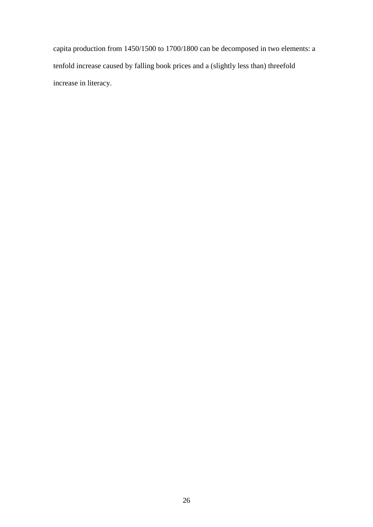capita production from 1450/1500 to 1700/1800 can be decomposed in two elements: a tenfold increase caused by falling book prices and a (slightly less than) threefold increase in literacy.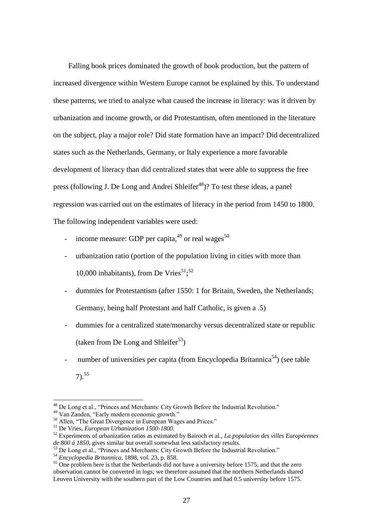Falling book prices dominated the growth of book production, but the pattern of increased divergence within Western Europe cannot be explained by this. To understand these patterns, we tried to analyze what caused the increase in literacy: was it driven by urbanization and income growth, or did Protestantism, often mentioned in the literature on the subject, play a major role? Did state formation have an impact? Did decentralized states such as the Netherlands, Germany, or Italy experience a more favorable development of literacy than did centralized states that were able to suppress the free press (following J. De Long and Andrei Shleifer<sup>48</sup>)? To test these ideas, a panel regression was carried out on the estimates of literacy in the period from 1450 to 1800. The following independent variables were used:

- income measure: GDP per capita,  $49$  or real wages  $50$
- urbanization ratio (portion of the population living in cities with more than 10,000 inhabitants), from De Vries $51;52$
- dummies for Protestantism (after 1550: 1 for Britain, Sweden, the Netherlands; Germany, being half Protestant and half Catholic, is given a .5)
- dummies for a centralized state/monarchy versus decentralized state or republic (taken from De Long and Shleifer<sup>53</sup>)
- number of universities per capita (from Encyclopedia Britannica<sup>54</sup>) (see table  $7)$ <sup>55</sup>

<sup>48</sup> De Long et al., "Princes and Merchants: City Growth Before the Industrial Revolution."

<sup>49</sup> Van Zanden, "Early modern economic growth."

<sup>&</sup>lt;sup>50</sup> Allen, "The Great Divergence in European Wages and Prices."

<sup>51</sup> De Vries, *European Urbanization 1500-1800*.

<sup>52</sup> Experiments of urbanization ratios as estimated by Bairoch et al., *La population des villes Européennes de 800 á 1850*, gives similar but overall somewhat less satisfactory results.

<sup>53</sup> De Long et al., "Princes and Merchants: City Growth Before the Industrial Revolution."

<sup>54</sup> *Encyclopedia Britannica*, 1898, vol. 23, p. 858.

<sup>&</sup>lt;sup>55</sup> One problem here is that the Netherlands did not have a university before 1575, and that the zero observation cannot be converted in logs; we therefore assumed that the northern Netherlands shared Leuven University with the southern part of the Low Countries and had 0.5 university before 1575.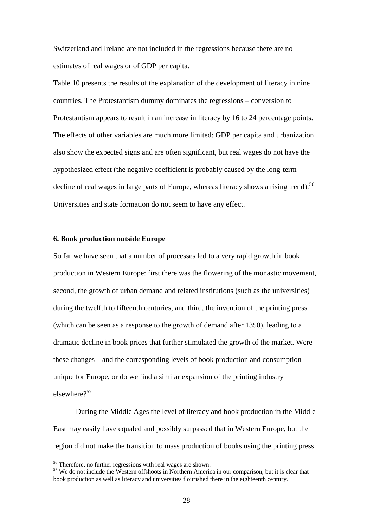Switzerland and Ireland are not included in the regressions because there are no estimates of real wages or of GDP per capita.

Table 10 presents the results of the explanation of the development of literacy in nine countries. The Protestantism dummy dominates the regressions – conversion to Protestantism appears to result in an increase in literacy by 16 to 24 percentage points. The effects of other variables are much more limited: GDP per capita and urbanization also show the expected signs and are often significant, but real wages do not have the hypothesized effect (the negative coefficient is probably caused by the long-term decline of real wages in large parts of Europe, whereas literacy shows a rising trend).<sup>56</sup> Universities and state formation do not seem to have any effect.

### **6. Book production outside Europe**

So far we have seen that a number of processes led to a very rapid growth in book production in Western Europe: first there was the flowering of the monastic movement, second, the growth of urban demand and related institutions (such as the universities) during the twelfth to fifteenth centuries, and third, the invention of the printing press (which can be seen as a response to the growth of demand after 1350), leading to a dramatic decline in book prices that further stimulated the growth of the market. Were these changes – and the corresponding levels of book production and consumption – unique for Europe, or do we find a similar expansion of the printing industry elsewhere $2^{57}$ 

During the Middle Ages the level of literacy and book production in the Middle East may easily have equaled and possibly surpassed that in Western Europe, but the region did not make the transition to mass production of books using the printing press

<sup>&</sup>lt;sup>56</sup> Therefore, no further regressions with real wages are shown.

 $57$  We do not include the Western offshoots in Northern America in our comparison, but it is clear that book production as well as literacy and universities flourished there in the eighteenth century.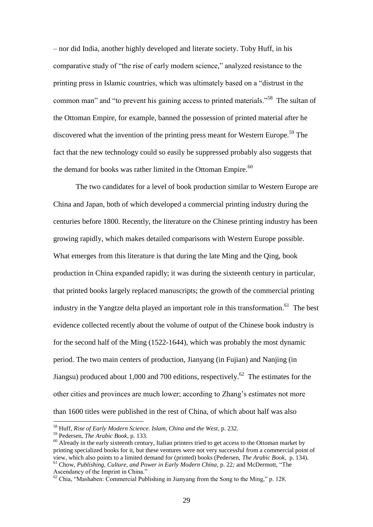– nor did India, another highly developed and literate society. Toby Huff, in his comparative study of "the rise of early modern science," analyzed resistance to the printing press in Islamic countries, which was ultimately based on a "distrust in the common man" and "to prevent his gaining access to printed materials."<sup>58</sup> The sultan of the Ottoman Empire, for example, banned the possession of printed material after he discovered what the invention of the printing press meant for Western Europe.<sup>59</sup> The fact that the new technology could so easily be suppressed probably also suggests that the demand for books was rather limited in the Ottoman Empire.<sup>60</sup>

The two candidates for a level of book production similar to Western Europe are China and Japan, both of which developed a commercial printing industry during the centuries before 1800. Recently, the literature on the Chinese printing industry has been growing rapidly, which makes detailed comparisons with Western Europe possible. What emerges from this literature is that during the late Ming and the Qing, book production in China expanded rapidly; it was during the sixteenth century in particular, that printed books largely replaced manuscripts; the growth of the commercial printing industry in the Yangtze delta played an important role in this transformation.<sup>61</sup> The best evidence collected recently about the volume of output of the Chinese book industry is for the second half of the Ming (1522-1644), which was probably the most dynamic period. The two main centers of production, Jianyang (in Fujian) and Nanjing (in Jiangsu) produced about 1,000 and 700 editions, respectively.<sup>62</sup> The estimates for the other cities and provinces are much lower; according to Zhang"s estimates not more than 1600 titles were published in the rest of China, of which about half was also

<sup>58</sup> Huff, *Rise of Early Modern Science. Islam, China and the West*, p. 232.

<sup>59</sup> Pedersen, *The Arabic Book*, p. 133.

<sup>&</sup>lt;sup>60</sup> Already in the early sixteenth century, Italian printers tried to get access to the Ottoman market by printing specialized books for it, but these ventures were not very successful from a commercial point of view, which also points to a limited demand for (printed) books (Pedersen, *The Arabic Book*, p. 134). <sup>61</sup> Chow, *Publishing, Culture, and Power in Early Modern China*, p. 22*;* and McDermott, "The

Ascendancy of the Imprint in China."

 $62$  Chia, "Mashaben: Commercial Publishing in Jianyang from the Song to the Ming," p. 128.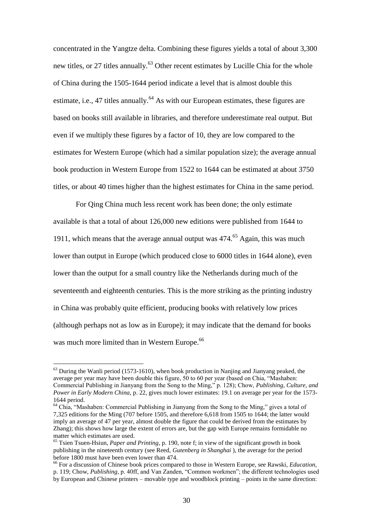concentrated in the Yangtze delta. Combining these figures yields a total of about 3,300 new titles, or 27 titles annually.<sup>63</sup> Other recent estimates by Lucille Chia for the whole of China during the 1505-1644 period indicate a level that is almost double this estimate, i.e., 47 titles annually.<sup>64</sup> As with our European estimates, these figures are based on books still available in libraries, and therefore underestimate real output. But even if we multiply these figures by a factor of 10, they are low compared to the estimates for Western Europe (which had a similar population size); the average annual book production in Western Europe from 1522 to 1644 can be estimated at about 3750 titles, or about 40 times higher than the highest estimates for China in the same period.

For Qing China much less recent work has been done; the only estimate available is that a total of about 126,000 new editions were published from 1644 to 1911, which means that the average annual output was  $474<sup>65</sup>$  Again, this was much lower than output in Europe (which produced close to 6000 titles in 1644 alone), even lower than the output for a small country like the Netherlands during much of the seventeenth and eighteenth centuries. This is the more striking as the printing industry in China was probably quite efficient, producing books with relatively low prices (although perhaps not as low as in Europe); it may indicate that the demand for books was much more limited than in Western Europe.<sup>66</sup>

 $<sup>63</sup>$  During the Wanli period (1573-1610), when book production in Nanjing and Jianyang peaked, the</sup> average per year may have been double this figure, 50 to 60 per year (based on Chia, "Mashaben: Commercial Publishing in Jianyang from the Song to the Ming," p. 128); Chow, *Publishing, Culture, and Power in Early Modern China,* p. 22, gives much lower estimates: 19.1 on average per year for the 1573- 1644 period.

<sup>&</sup>lt;sup>64</sup> Chia, "Mashaben: Commercial Publishing in Jianyang from the Song to the Ming," gives a total of 7,325 editions for the Ming (707 before 1505, and therefore 6,618 from 1505 to 1644; the latter would imply an average of 47 per year, almost double the figure that could be derived from the estimates by Zhang); this shows how large the extent of errors are, but the gap with Europe remains formidable no matter which estimates are used.

<sup>65</sup> Tsien Tsuen-Hsiun, *Paper and Printing*, p. 190, note f; in view of the significant growth in book publishing in the nineteenth century (see Reed, *Gutenberg in Shanghai* ), the average for the period before 1800 must have been even lower than 474.

<sup>66</sup> For a discussion of Chinese book prices compared to those in Western Europe, see Rawski, *Education,* p. 119; Chow, *Publishing*, p. 40ff, and Van Zanden, "Common workmen"; the different technologies used by European and Chinese printers – movable type and woodblock printing – points in the same direction: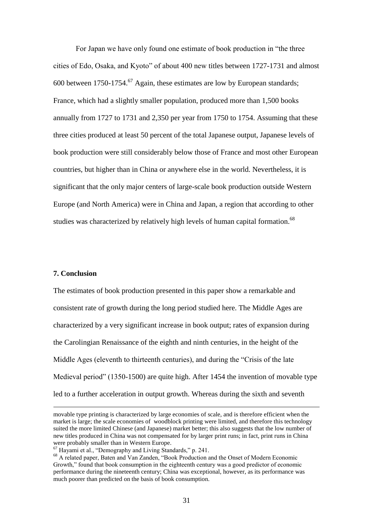For Japan we have only found one estimate of book production in "the three cities of Edo, Osaka, and Kyoto" of about 400 new titles between 1727-1731 and almost 600 between 1750-1754.<sup>67</sup> Again, these estimates are low by European standards; France, which had a slightly smaller population, produced more than 1,500 books annually from 1727 to 1731 and 2,350 per year from 1750 to 1754. Assuming that these three cities produced at least 50 percent of the total Japanese output, Japanese levels of book production were still considerably below those of France and most other European countries, but higher than in China or anywhere else in the world. Nevertheless, it is significant that the only major centers of large-scale book production outside Western Europe (and North America) were in China and Japan, a region that according to other studies was characterized by relatively high levels of human capital formation.<sup>68</sup>

### **7. Conclusion**

<u>.</u>

The estimates of book production presented in this paper show a remarkable and consistent rate of growth during the long period studied here. The Middle Ages are characterized by a very significant increase in book output; rates of expansion during the Carolingian Renaissance of the eighth and ninth centuries, in the height of the Middle Ages (eleventh to thirteenth centuries), and during the "Crisis of the late Medieval period" (1350-1500) are quite high. After 1454 the invention of movable type led to a further acceleration in output growth. Whereas during the sixth and seventh

movable type printing is characterized by large economies of scale, and is therefore efficient when the market is large; the scale economies of woodblock printing were limited, and therefore this technology suited the more limited Chinese (and Japanese) market better; this also suggests that the low number of new titles produced in China was not compensated for by larger print runs; in fact, print runs in China were probably smaller than in Western Europe.

<sup>67</sup> Hayami et al., "Demography and Living Standards," p. 241.

<sup>&</sup>lt;sup>68</sup> A related paper, Baten and Van Zanden, "Book Production and the Onset of Modern Economic Growth," found that book consumption in the eighteenth century was a good predictor of economic performance during the nineteenth century; China was exceptional, however, as its performance was much poorer than predicted on the basis of book consumption.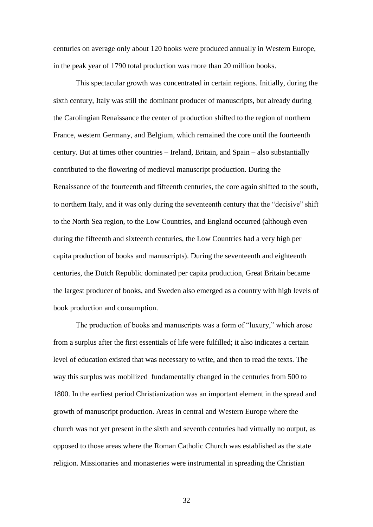centuries on average only about 120 books were produced annually in Western Europe, in the peak year of 1790 total production was more than 20 million books.

This spectacular growth was concentrated in certain regions. Initially, during the sixth century, Italy was still the dominant producer of manuscripts, but already during the Carolingian Renaissance the center of production shifted to the region of northern France, western Germany, and Belgium, which remained the core until the fourteenth century. But at times other countries – Ireland, Britain, and Spain – also substantially contributed to the flowering of medieval manuscript production. During the Renaissance of the fourteenth and fifteenth centuries, the core again shifted to the south, to northern Italy, and it was only during the seventeenth century that the "decisive" shift to the North Sea region, to the Low Countries, and England occurred (although even during the fifteenth and sixteenth centuries, the Low Countries had a very high per capita production of books and manuscripts). During the seventeenth and eighteenth centuries, the Dutch Republic dominated per capita production, Great Britain became the largest producer of books, and Sweden also emerged as a country with high levels of book production and consumption.

The production of books and manuscripts was a form of "luxury," which arose from a surplus after the first essentials of life were fulfilled; it also indicates a certain level of education existed that was necessary to write, and then to read the texts. The way this surplus was mobilized fundamentally changed in the centuries from 500 to 1800. In the earliest period Christianization was an important element in the spread and growth of manuscript production. Areas in central and Western Europe where the church was not yet present in the sixth and seventh centuries had virtually no output, as opposed to those areas where the Roman Catholic Church was established as the state religion. Missionaries and monasteries were instrumental in spreading the Christian

32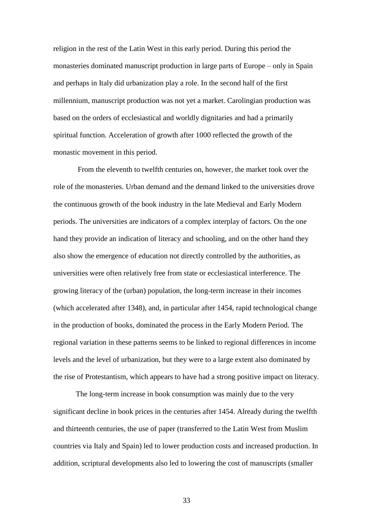religion in the rest of the Latin West in this early period. During this period the monasteries dominated manuscript production in large parts of Europe – only in Spain and perhaps in Italy did urbanization play a role. In the second half of the first millennium, manuscript production was not yet a market. Carolingian production was based on the orders of ecclesiastical and worldly dignitaries and had a primarily spiritual function. Acceleration of growth after 1000 reflected the growth of the monastic movement in this period.

From the eleventh to twelfth centuries on, however, the market took over the role of the monasteries. Urban demand and the demand linked to the universities drove the continuous growth of the book industry in the late Medieval and Early Modern periods. The universities are indicators of a complex interplay of factors. On the one hand they provide an indication of literacy and schooling, and on the other hand they also show the emergence of education not directly controlled by the authorities, as universities were often relatively free from state or ecclesiastical interference. The growing literacy of the (urban) population, the long-term increase in their incomes (which accelerated after 1348), and, in particular after 1454, rapid technological change in the production of books, dominated the process in the Early Modern Period. The regional variation in these patterns seems to be linked to regional differences in income levels and the level of urbanization, but they were to a large extent also dominated by the rise of Protestantism, which appears to have had a strong positive impact on literacy.

The long-term increase in book consumption was mainly due to the very significant decline in book prices in the centuries after 1454. Already during the twelfth and thirteenth centuries, the use of paper (transferred to the Latin West from Muslim countries via Italy and Spain) led to lower production costs and increased production. In addition, scriptural developments also led to lowering the cost of manuscripts (smaller

33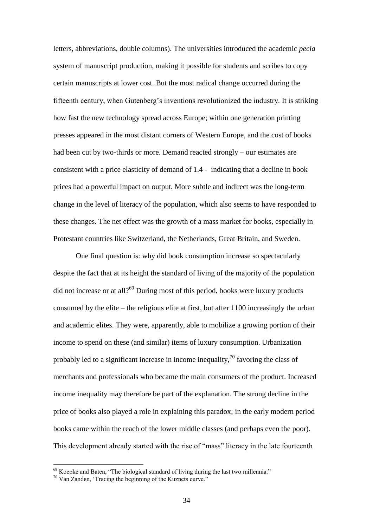letters, abbreviations, double columns). The universities introduced the academic *pecia* system of manuscript production, making it possible for students and scribes to copy certain manuscripts at lower cost. But the most radical change occurred during the fifteenth century, when Gutenberg"s inventions revolutionized the industry. It is striking how fast the new technology spread across Europe; within one generation printing presses appeared in the most distant corners of Western Europe, and the cost of books had been cut by two-thirds or more. Demand reacted strongly – our estimates are consistent with a price elasticity of demand of 1.4 - indicating that a decline in book prices had a powerful impact on output. More subtle and indirect was the long-term change in the level of literacy of the population, which also seems to have responded to these changes. The net effect was the growth of a mass market for books, especially in Protestant countries like Switzerland, the Netherlands, Great Britain, and Sweden.

One final question is: why did book consumption increase so spectacularly despite the fact that at its height the standard of living of the majority of the population did not increase or at all?<sup>69</sup> During most of this period, books were luxury products consumed by the elite – the religious elite at first, but after 1100 increasingly the urban and academic elites. They were, apparently, able to mobilize a growing portion of their income to spend on these (and similar) items of luxury consumption. Urbanization probably led to a significant increase in income inequality,  $\frac{1}{2}$  favoring the class of merchants and professionals who became the main consumers of the product. Increased income inequality may therefore be part of the explanation. The strong decline in the price of books also played a role in explaining this paradox; in the early modern period books came within the reach of the lower middle classes (and perhaps even the poor). This development already started with the rise of "mass" literacy in the late fourteenth

 $69$  Koepke and Baten, "The biological standard of living during the last two millennia."

 $70$  Van Zanden, 'Tracing the beginning of the Kuznets curve."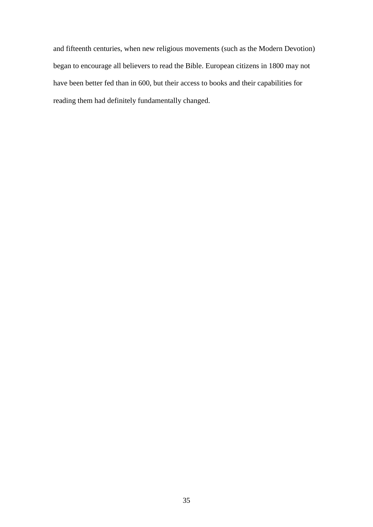and fifteenth centuries, when new religious movements (such as the Modern Devotion) began to encourage all believers to read the Bible. European citizens in 1800 may not have been better fed than in 600, but their access to books and their capabilities for reading them had definitely fundamentally changed.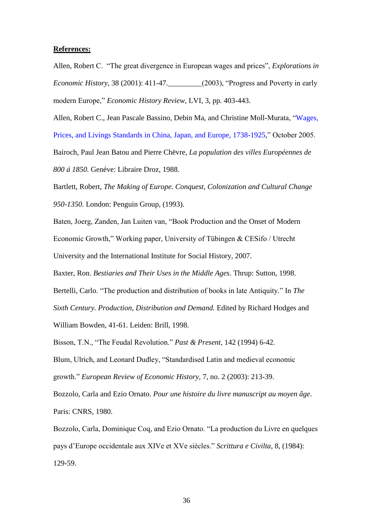### **References:**

Allen, Robert C. "The great divergence in European wages and prices", *Explorations in Economic History*, 38 (2001): 411-47.\_\_\_\_\_\_\_\_\_(2003), "Progress and Poverty in early modern Europe," *Economic History Review*, LVI, 3, pp. 403-443.

Allen, Robert C., Jean Pascale Bassino, Debin Ma, and Christine Moll-Murata, ["Wages,](http://www.iisg.nl/research/jvz-wages_prices.pdf)  [Prices, and Livings Standards in China, Japan, and Europe, 1738-1925,](http://www.iisg.nl/research/jvz-wages_prices.pdf)" October 2005.

Bairoch, Paul Jean Batou and Pierre Chëvre, *La population des villes Européennes de 800 á 1850.* Genéve: Libraire Droz, 1988.

Bartlett, Robert, *The Making of Europe. Conquest, Colonization and Cultural Change 950-1350*. London: Penguin Group, (1993).

Baten, Joerg, Zanden, Jan Luiten van, "Book Production and the Onset of Modern Economic Growth," Working paper, University of Tübingen & CESifo / Utrecht University and the International Institute for Social History, 2007.

Baxter, Ron. *Bestiaries and Their Uses in the Middle Ages*. Thrup: Sutton, 1998.

Bertelli, Carlo. "The production and distribution of books in late Antiquity." In *The Sixth Century. Production, Distribution and Demand.* Edited by Richard Hodges and

William Bowden, 41-61. Leiden: Brill, 1998.

Bisson, T.N., "The Feudal Revolution." *Past & Present*, 142 (1994) 6-42.

Blum, Ulrich, and Leonard Dudley, "Standardised Latin and medieval economic growth." *European Review of Economic History*, 7, no. 2 (2003): 213-39.

Bozzolo, Carla and Ezio Ornato. *Pour une histoire du livre manuscript au moyen âge*. Paris: CNRS, 1980.

Bozzolo, Carla, Dominique Coq, and Ezio Ornato. "La production du Livre en quelques pays d"Europe occidentale aux XIVe et XVe siècles." *Scrittura e Civilta*, 8, (1984): 129-59.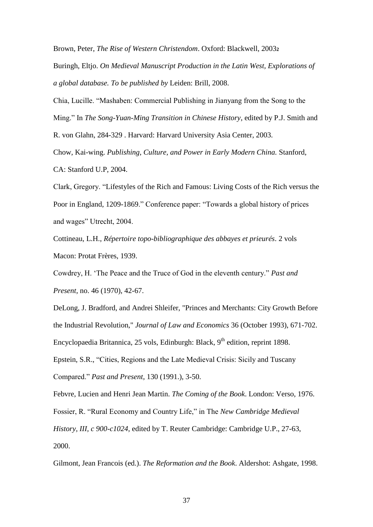Brown, Peter, *The Rise of Western Christendom*. Oxford: Blackwell, 2003**<sup>2</sup>**

Buringh, Eltjo. *On Medieval Manuscript Production in the Latin West, Explorations of a global database. To be published by* Leiden: Brill, 2008.

Chia, Lucille. "Mashaben: Commercial Publishing in Jianyang from the Song to the Ming." In *The Song-Yuan-Ming Transition in Chinese History*, edited by P.J. Smith and R. von Glahn, 284-329 . Harvard: Harvard University Asia Center, 2003.

Chow, Kai-wing. *Publishing, Culture, and Power in Early Modern China.* Stanford, CA: Stanford U.P, 2004.

Clark, Gregory. ["Lifestyles of the Rich and Famous: Living Costs of the Rich versus the](http://www.iisg.nl/hpw/papers/clark.pdf)  [Poor in England, 1209-1869.](http://www.iisg.nl/hpw/papers/clark.pdf)" Conference paper: "Towards a global history of prices and wages" Utrecht, 2004.

Cottineau, L.H., *Répertoire topo-bibliographique des abbayes et prieurés*. 2 vols Macon: Protat Frères, 1939.

Cowdrey, H. "The Peace and the Truce of God in the eleventh century." *Past and Present*, no. 46 (1970), 42-67.

DeLong, J. Bradford, and Andrei Shleifer, "Princes and Merchants: City Growth Before the Industrial Revolution," *Journal of Law and Economics* 36 (October 1993), 671-702. Encyclopaedia Britannica, 25 vols, Edinburgh: Black, 9<sup>th</sup> edition, reprint 1898.

Epstein, S.R., "Cities, Regions and the Late Medieval Crisis: Sicily and Tuscany

Compared." *Past and Present*, 130 (1991.), 3-50.

Febvre, Lucien and Henri Jean Martin. *The Coming of the Book*. London: Verso, 1976.

Fossier, R. "Rural Economy and Country Life," in The *New Cambridge Medieval* 

*History, III, c 900-c1024*, edited by T. Reuter Cambridge: Cambridge U.P., 27-63,

2000.

Gilmont, Jean Francois (ed.). *The Reformation and the Book*. Aldershot: Ashgate, 1998.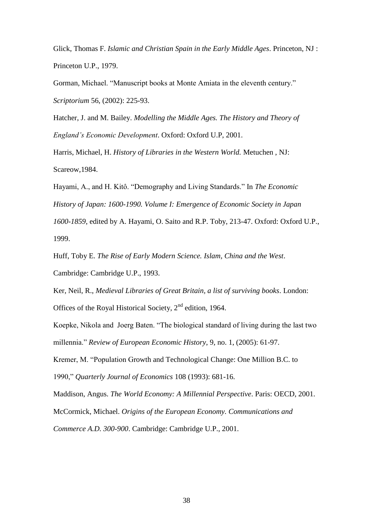Glick, Thomas F. *Islamic and Christian Spain in the Early Middle Ages*. Princeton, NJ : Princeton U.P., 1979.

Gorman, Michael. "Manuscript books at Monte Amiata in the eleventh century." *Scriptorium* 56, (2002): 225-93.

Hatcher, J. and M. Bailey. *Modelling the Middle Ages. The History and Theory of England's Economic Development*. Oxford: Oxford U.P, 2001.

Harris, Michael, H. *History of Libraries in the Western World.* Metuchen , NJ: Scareow,1984.

Hayami, A., and H. Kitô. "Demography and Living Standards." In *The Economic History of Japan: 1600-1990. Volume I: Emergence of Economic Society in Japan 1600-1859*, edited by A. Hayami, O. Saito and R.P. Toby, 213-47. Oxford: Oxford U.P., 1999.

Huff, Toby E. *The Rise of Early Modern Science. Islam, China and the West*.

Cambridge: Cambridge U.P., 1993.

Ker, Neil, R., *Medieval Libraries of Great Britain, a list of surviving books*. London: Offices of the Royal Historical Society,  $2<sup>nd</sup>$  edition, 1964.

Koepke, Nikola and Joerg Baten. "The biological standard of living during the last two millennia." *Review of European Economic History*, 9, no. 1, (2005): 61-97.

Kremer, M. "Population Growth and Technological Change: One Million B.C. to

1990," *Quarterly Journal of Economics* 108 (1993): 681-16.

Maddison, Angus. *The World Economy: A Millennial Perspective*. Paris: OECD, 2001.

McCormick, Michael. *Origins of the European Economy. Communications and* 

*Commerce A.D. 300-900*. Cambridge: Cambridge U.P., 2001.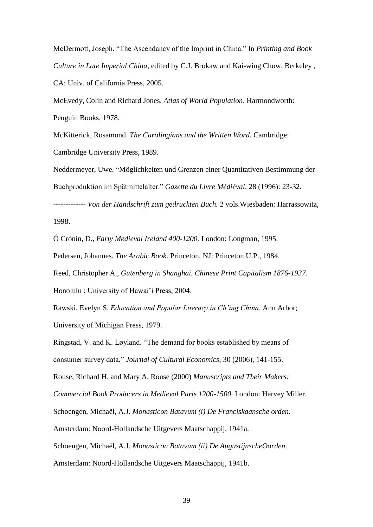McDermott, Joseph. "The Ascendancy of the Imprint in China." In *Printing and Book Culture in Late Imperial China*, edited by C.J. Brokaw and Kai-wing Chow. Berkeley , CA: Univ. of California Press, 2005.

McEvedy, Colin and Richard Jones. *Atlas of World Population*. Harmondworth: Penguin Books, 1978.

McKitterick, Rosamond. *The Carolingians and the Written Word.* Cambridge: Cambridge University Press, 1989.

Neddermeyer, Uwe. "Möglichkeiten und Grenzen einer Quantitativen Bestimmung der Buchproduktion im Spätmittelalter." *Gazette du Livre Médiéval*, 28 (1996): 23-32. ------------- *Von der Handschrift zum gedruckten Buch.* 2 vols.Wiesbaden: Harrassowitz,

1998.

Ó Crónín, D., *Early Medieval Ireland 400-1200.* London: Longman, 1995.

Pedersen, Johannes. *The Arabic Book*. Princeton, NJ: Princeton U.P., 1984.

Reed, Christopher A., *Gutenberg in Shanghai. Chinese Print Capitalism 1876-1937*. Honolulu : University of Hawai"i Press, 2004.

Rawski, Evelyn S. *Education and Popular Literacy in Ch'ing China.* Ann Arbor; University of Michigan Press, 1979.

Ringstad, V. and K. Løyland. "The demand for books established by means of consumer survey data," *Journal of Cultural Economics*, 30 (2006), 141-155.

Rouse, Richard H. and Mary A. Rouse (2000) *Manuscripts and Their Makers:* 

*Commercial Book Producers in Medieval Paris 1200-1500*. London: Harvey Miller.

Schoengen, Michaël, A.J. *Monasticon Batavum (i) De Franciskaansche orden*.

Amsterdam: Noord-Hollandsche Uitgevers Maatschappij, 1941a.

Schoengen, Michaël, A.J. *Monasticon Batavum (ii) De AugustijnscheOorden*.

Amsterdam: Noord-Hollandsche Uitgevers Maatschappij, 1941b.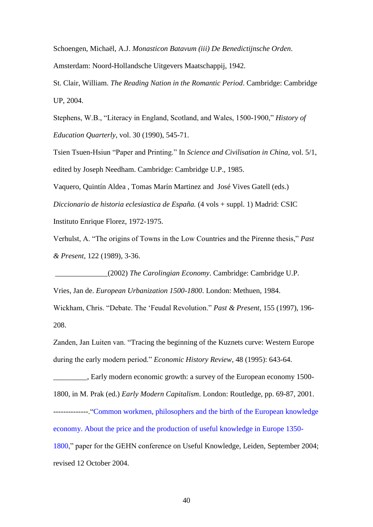Schoengen, Michaël, A.J. *Monasticon Batavum (iii) De Benedictijnsche Orden*. Amsterdam: Noord-Hollandsche Uitgevers Maatschappij, 1942.

St. Clair, William. *The Reading Nation in the Romantic Period*. Cambridge: Cambridge UP, 2004.

Stephens, W.B., "Literacy in England, Scotland, and Wales, 1500-1900," *History of Education Quarterly*, vol. 30 (1990), 545-71.

Tsien Tsuen-Hsiun "Paper and Printing." In *Science and Civilisation in China,* vol. 5/1, edited by Joseph Needham. Cambridge: Cambridge U.P., 1985.

Vaquero, Quintín Aldea , Tomas Marín Martinez and José Vives Gatell (eds.) *Diccionario de historia eclesiastica de España.* (4 vols + suppl. 1) Madrid: CSIC Instituto Enrique Florez, 1972-1975.

Verhulst, A. "The origins of Towns in the Low Countries and the Pirenne thesis," *Past & Present*, 122 (1989), 3-36.

\_\_\_\_\_\_\_\_\_\_\_\_\_\_(2002) *The Carolingian Economy*. Cambridge: Cambridge U.P. Vries, Jan de. *European Urbanization 1500-1800*. London: Methuen, 1984.

Wickham, Chris. "Debate. The "Feudal Revolution." *Past & Present*, 155 (1997), 196- 208.

Zanden, Jan Luiten van. "Tracing the beginning of the Kuznets curve: Western Europe during the early modern period." *Economic History Review*, 48 (1995): 643-64.

. Early modern economic growth: a survey of the European economy 1500-1800, in M. Prak (ed.) *Early Modern Capitalism*. London: Routledge, pp. 69-87, 2001.

--------------.["Common workmen, philosophers and the birth of the European knowledge](http://www.iisg.nl/research/jvz-knowledge_economy.pdf)  [economy. About the price and the production of useful knowledge in Europe 1350-](http://www.iisg.nl/research/jvz-knowledge_economy.pdf) [1800,](http://www.iisg.nl/research/jvz-knowledge_economy.pdf)" paper for the GEHN conference on Useful Knowledge, Leiden, September 2004;

revised 12 October 2004.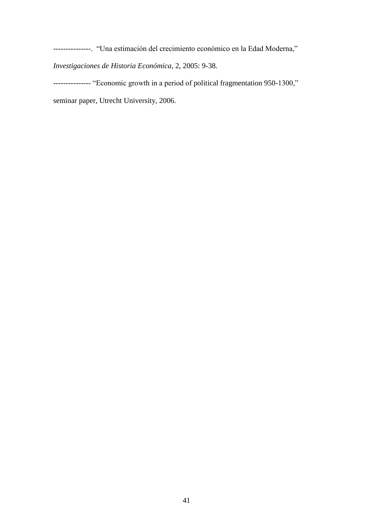---------------. "Una estimación del crecimiento económico en la Edad Moderna," *Investigaciones de Historia Económica*, 2, 2005: 9-38.

--------------- "Economic growth in a period of political fragmentation 950-1300," seminar paper, Utrecht University, 2006.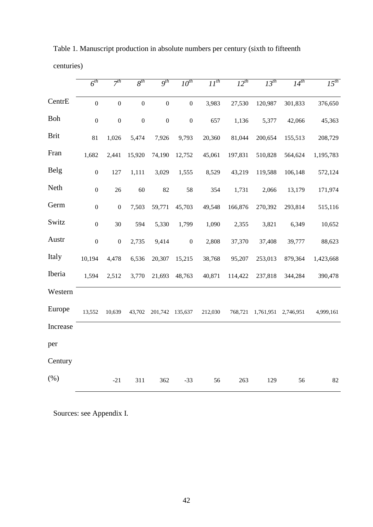|             | $6^{th}$         | 7 <sup>th</sup>  | $8^{th}$         | $\overline{g^{th}}$ | $\overline{10^{th}}$ | $\overline{II^{th}}$ | $\overline{12}^{th}$ | $\overline{13^{th}}$ | $\overline{14^{th}}$ | $\overline{15^{th}}$ |
|-------------|------------------|------------------|------------------|---------------------|----------------------|----------------------|----------------------|----------------------|----------------------|----------------------|
| CentrE      | $\overline{0}$   | $\boldsymbol{0}$ | $\overline{0}$   | $\boldsymbol{0}$    | $\boldsymbol{0}$     | 3,983                | 27,530               | 120,987              | 301,833              | 376,650              |
| Boh         | $\boldsymbol{0}$ | $\boldsymbol{0}$ | $\boldsymbol{0}$ | $\boldsymbol{0}$    | $\boldsymbol{0}$     | 657                  | 1,136                | 5,377                | 42,066               | 45,363               |
| <b>Brit</b> | 81               | 1,026            | 5,474            | 7,926               | 9,793                | 20,360               | 81,044               | 200,654              | 155,513              | 208,729              |
| Fran        | 1,682            | 2,441            | 15,920           | 74,190              | 12,752               | 45,061               | 197,831              | 510,828              | 564,624              | 1,195,783            |
| <b>Belg</b> | $\boldsymbol{0}$ | 127              | 1,111            | 3,029               | 1,555                | 8,529                | 43,219               | 119,588              | 106,148              | 572,124              |
| Neth        | $\boldsymbol{0}$ | 26               | 60               | 82                  | 58                   | 354                  | 1,731                | 2,066                | 13,179               | 171,974              |
| Germ        | $\boldsymbol{0}$ | $\boldsymbol{0}$ | 7,503            | 59,771              | 45,703               | 49,548               | 166,876              | 270,392              | 293,814              | 515,116              |
| Switz       | $\boldsymbol{0}$ | 30               | 594              | 5,330               | 1,799                | 1,090                | 2,355                | 3,821                | 6,349                | 10,652               |
| Austr       | $\boldsymbol{0}$ | $\boldsymbol{0}$ | 2,735            | 9,414               | $\boldsymbol{0}$     | 2,808                | 37,370               | 37,408               | 39,777               | 88,623               |
| Italy       | 10,194           | 4,478            | 6,536            | 20,307              | 15,215               | 38,768               | 95,207               | 253,013              | 879,364              | 1,423,668            |
| Iberia      | 1,594            | 2,512            | 3,770            | 21,693              | 48,763               | 40,871               | 114,422              | 237,818              | 344,284              | 390,478              |
| Western     |                  |                  |                  |                     |                      |                      |                      |                      |                      |                      |
| Europe      | 13,552           | 10,639           | 43,702           | 201,742 135,637     |                      | 212,030              | 768,721              | 1,761,951            | 2,746,951            | 4,999,161            |
| Increase    |                  |                  |                  |                     |                      |                      |                      |                      |                      |                      |
| per         |                  |                  |                  |                     |                      |                      |                      |                      |                      |                      |
| Century     |                  |                  |                  |                     |                      |                      |                      |                      |                      |                      |
| (%)         |                  | $-21$            | 311              | 362                 | $-33$                | 56                   | 263                  | 129                  | 56                   | 82                   |

Table 1. Manuscript production in absolute numbers per century (sixth to fifteenth centuries)

Sources: see Appendix I.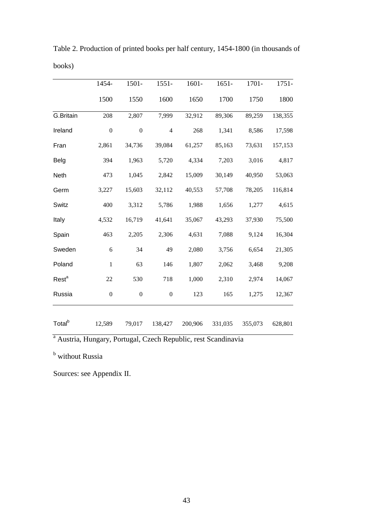|                    | 1454-            | 1501-            | $1551 -$         | 1601-   | $1651 -$ | 1701-   | $1751 -$ |
|--------------------|------------------|------------------|------------------|---------|----------|---------|----------|
|                    | 1500             | 1550             | 1600             | 1650    | 1700     | 1750    | 1800     |
| G.Britain          | 208              | 2,807            | 7,999            | 32,912  | 89,306   | 89,259  | 138,355  |
| Ireland            | $\boldsymbol{0}$ | $\boldsymbol{0}$ | $\overline{4}$   | 268     | 1,341    | 8,586   | 17,598   |
| Fran               | 2,861            | 34,736           | 39,084           | 61,257  | 85,163   | 73,631  | 157,153  |
| Belg               | 394              | 1,963            | 5,720            | 4,334   | 7,203    | 3,016   | 4,817    |
| Neth               | 473              | 1,045            | 2,842            | 15,009  | 30,149   | 40,950  | 53,063   |
| Germ               | 3,227            | 15,603           | 32,112           | 40,553  | 57,708   | 78,205  | 116,814  |
| Switz              | 400              | 3,312            | 5,786            | 1,988   | 1,656    | 1,277   | 4,615    |
| Italy              | 4,532            | 16,719           | 41,641           | 35,067  | 43,293   | 37,930  | 75,500   |
| Spain              | 463              | 2,205            | 2,306            | 4,631   | 7,088    | 9,124   | 16,304   |
| Sweden             | 6                | 34               | 49               | 2,080   | 3,756    | 6,654   | 21,305   |
| Poland             | $\mathbf{1}$     | 63               | 146              | 1,807   | 2,062    | 3,468   | 9,208    |
| Rest <sup>a</sup>  | 22               | 530              | 718              | 1,000   | 2,310    | 2,974   | 14,067   |
| Russia             | $\boldsymbol{0}$ | $\boldsymbol{0}$ | $\boldsymbol{0}$ | 123     | 165      | 1,275   | 12,367   |
| Total <sup>b</sup> | 12,589           | 79,017           | 138,427          | 200,906 | 331,035  | 355,073 | 628,801  |

Table 2. Production of printed books per half century, 1454-1800 (in thousands of books)

<sup>a</sup> Austria, Hungary, Portugal, Czech Republic, rest Scandinavia

**b** without Russia

Sources: see Appendix II.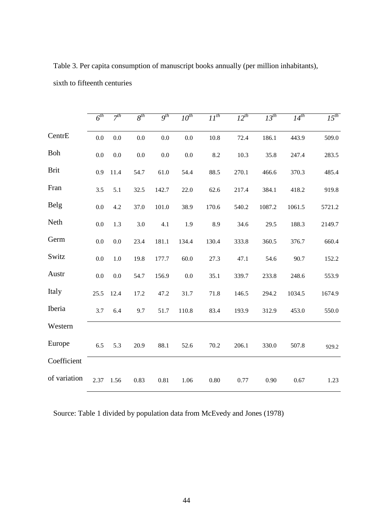|              | $6^{th}$ | $\overline{7^{th}}$ | $8^{th}$ | $Q^{th}$ | $10^{th}$ | $II^{th}$ | $12^{th}$ | $\overline{13^{th}}$ | $14^{th}$ | $\overline{15^{th}}$ |
|--------------|----------|---------------------|----------|----------|-----------|-----------|-----------|----------------------|-----------|----------------------|
| CentrE       | $0.0\,$  | 0.0                 | 0.0      | 0.0      | 0.0       | 10.8      | 72.4      | 186.1                | 443.9     | 509.0                |
| Boh          | $0.0\,$  | 0.0                 | 0.0      | 0.0      | 0.0       | 8.2       | 10.3      | 35.8                 | 247.4     | 283.5                |
| <b>Brit</b>  | 0.9      | 11.4                | 54.7     | 61.0     | 54.4      | 88.5      | 270.1     | 466.6                | 370.3     | 485.4                |
| Fran         | 3.5      | 5.1                 | 32.5     | 142.7    | 22.0      | 62.6      | 217.4     | 384.1                | 418.2     | 919.8                |
| Belg         | 0.0      | 4.2                 | 37.0     | 101.0    | 38.9      | 170.6     | 540.2     | 1087.2               | 1061.5    | 5721.2               |
| Neth         | $0.0\,$  | 1.3                 | 3.0      | 4.1      | 1.9       | 8.9       | 34.6      | 29.5                 | 188.3     | 2149.7               |
| Germ         | $0.0\,$  | 0.0                 | 23.4     | 181.1    | 134.4     | 130.4     | 333.8     | 360.5                | 376.7     | 660.4                |
| Switz        | 0.0      | 1.0                 | 19.8     | 177.7    | 60.0      | 27.3      | 47.1      | 54.6                 | 90.7      | 152.2                |
| Austr        | $0.0\,$  | 0.0                 | 54.7     | 156.9    | 0.0       | 35.1      | 339.7     | 233.8                | 248.6     | 553.9                |
| Italy        | 25.5     | 12.4                | 17.2     | 47.2     | 31.7      | 71.8      | 146.5     | 294.2                | 1034.5    | 1674.9               |
| Iberia       | 3.7      | 6.4                 | 9.7      | 51.7     | 110.8     | 83.4      | 193.9     | 312.9                | 453.0     | 550.0                |
| Western      |          |                     |          |          |           |           |           |                      |           |                      |
| Europe       | 6.5      | 5.3                 | 20.9     | 88.1     | 52.6      | 70.2      | 206.1     | 330.0                | 507.8     | 929.2                |
| Coefficient  |          |                     |          |          |           |           |           |                      |           |                      |
| of variation | 2.37     | 1.56                | 0.83     | 0.81     | 1.06      | 0.80      | 0.77      | 0.90                 | 0.67      | 1.23                 |

Table 3. Per capita consumption of manuscript books annually (per million inhabitants), sixth to fifteenth centuries

Source: Table 1 divided by population data from McEvedy and Jones (1978)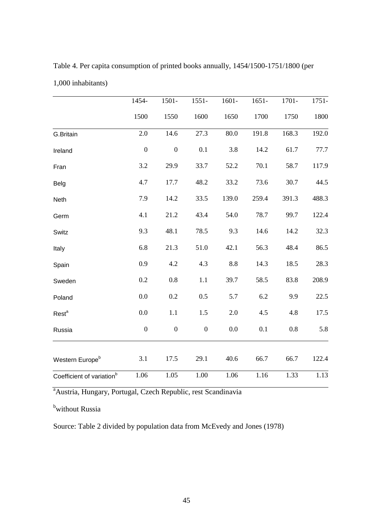|                                       | 1454-            | 1501-            | $1551 -$         | $1601 -$ | $1651 -$ | 1701-   | 1751- |
|---------------------------------------|------------------|------------------|------------------|----------|----------|---------|-------|
|                                       | 1500             | 1550             | 1600             | 1650     | 1700     | 1750    | 1800  |
| G.Britain                             | 2.0              | 14.6             | 27.3             | 80.0     | 191.8    | 168.3   | 192.0 |
| Ireland                               | $\boldsymbol{0}$ | $\boldsymbol{0}$ | 0.1              | 3.8      | 14.2     | 61.7    | 77.7  |
| Fran                                  | 3.2              | 29.9             | 33.7             | 52.2     | 70.1     | 58.7    | 117.9 |
| Belg                                  | 4.7              | 17.7             | 48.2             | 33.2     | 73.6     | 30.7    | 44.5  |
| Neth                                  | 7.9              | 14.2             | 33.5             | 139.0    | 259.4    | 391.3   | 488.3 |
| Germ                                  | 4.1              | 21.2             | 43.4             | 54.0     | 78.7     | 99.7    | 122.4 |
| Switz                                 | 9.3              | 48.1             | 78.5             | 9.3      | 14.6     | 14.2    | 32.3  |
| Italy                                 | 6.8              | 21.3             | 51.0             | 42.1     | 56.3     | 48.4    | 86.5  |
| Spain                                 | 0.9              | 4.2              | 4.3              | 8.8      | 14.3     | 18.5    | 28.3  |
| Sweden                                | 0.2              | $0.8\,$          | $1.1\,$          | 39.7     | 58.5     | 83.8    | 208.9 |
| Poland                                | 0.0              | 0.2              | 0.5              | 5.7      | 6.2      | 9.9     | 22.5  |
| Rest <sup>a</sup>                     | 0.0              | 1.1              | 1.5              | 2.0      | 4.5      | 4.8     | 17.5  |
| Russia                                | $\boldsymbol{0}$ | $\boldsymbol{0}$ | $\boldsymbol{0}$ | 0.0      | 0.1      | $0.8\,$ | 5.8   |
| Western Europe <sup>b</sup>           | 3.1              | 17.5             | 29.1             | 40.6     | 66.7     | 66.7    | 122.4 |
| Coefficient of variation <sup>b</sup> | 1.06             | 1.05             | 1.00             | 1.06     | 1.16     | 1.33    | 1.13  |

Table 4. Per capita consumption of printed books annually, 1454/1500-1751/1800 (per 1,000 inhabitants)

<sup>a</sup>Austria, Hungary, Portugal, Czech Republic, rest Scandinavia

bwithout Russia

Source: Table 2 divided by population data from McEvedy and Jones (1978)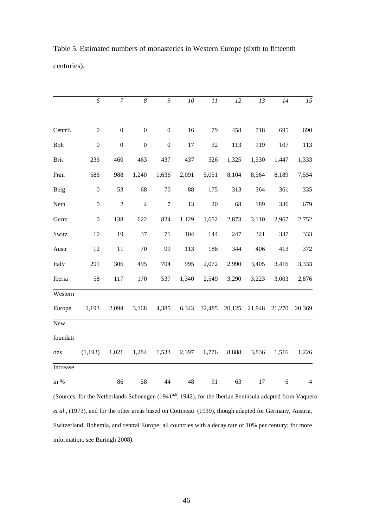|             | 6                | $\boldsymbol{7}$ | $\boldsymbol{8}$        | 9                | ${\it 10}$ | $\cal{I}$ | 12     | 13     | 14     | 15             |
|-------------|------------------|------------------|-------------------------|------------------|------------|-----------|--------|--------|--------|----------------|
|             |                  |                  |                         |                  |            |           |        |        |        |                |
| CentrE      | $\mathbf{0}$     | $\mathbf{0}$     | $\mathbf{0}$            | $\mathbf{0}$     | 16         | 79        | 458    | 718    | 695    | 690            |
| Boh         | $\boldsymbol{0}$ | $\boldsymbol{0}$ | $\boldsymbol{0}$        | $\boldsymbol{0}$ | 17         | 32        | 113    | 119    | 107    | 113            |
| <b>Brit</b> | 236              | 460              | 463                     | 437              | 437        | 526       | 1,325  | 1,530  | 1,447  | 1,333          |
| Fran        | 586              | 988              | 1,240                   | 1,636            | 2,091      | 5,051     | 8,104  | 8,564  | 8,189  | 7,554          |
| Belg        | $\boldsymbol{0}$ | 53               | 68                      | $70\,$           | 88         | 175       | 313    | 364    | 361    | 335            |
| Neth        | $\boldsymbol{0}$ | $\sqrt{2}$       | $\overline{\mathbf{4}}$ | $\boldsymbol{7}$ | 13         | 20        | 68     | 189    | 336    | 679            |
| Germ        | $\boldsymbol{0}$ | 138              | 622                     | 824              | 1,129      | 1,652     | 2,873  | 3,110  | 2,967  | 2,752          |
| Switz       | 10               | 19               | 37                      | 71               | 104        | 144       | 247    | 321    | 337    | 333            |
| Austr       | 12               | 11               | $70\,$                  | 99               | 113        | 186       | 344    | 406    | 413    | 372            |
| Italy       | 291              | 306              | 495                     | 704              | 995        | 2,072     | 2,990  | 3,405  | 3,416  | 3,333          |
| Iberia      | 58               | 117              | 170                     | 537              | 1,340      | 2,549     | 3,290  | 3,223  | 3,003  | 2,876          |
| Western     |                  |                  |                         |                  |            |           |        |        |        |                |
| Europe      | 1,193            | 2,094            | 3,168                   | 4,385            | 6,343      | 12,485    | 20,125 | 21,948 | 21,270 | 20,369         |
| New         |                  |                  |                         |                  |            |           |        |        |        |                |
| foundati    |                  |                  |                         |                  |            |           |        |        |        |                |
| ons         | (1,193)          | 1,021            | 1,284                   | 1,533            | 2,397      | 6,776     | 8,888  | 3,836  | 1,516  | 1,226          |
| Increase    |                  |                  |                         |                  |            |           |        |        |        |                |
| in %        |                  | 86               | 58                      | 44               | 48         | 91        | 63     | 17     | 6      | $\overline{4}$ |

Table 5. Estimated numbers of monasteries in Western Europe (sixth to fifteenth centuries).

*et al*., (1973), and for the other areas based on Cottineau (1939), though adapted for Germany, Austria, Switzerland, Bohemia, and central Europe; all countries with a decay rate of 10% per century; for more information, see Buringh 2008).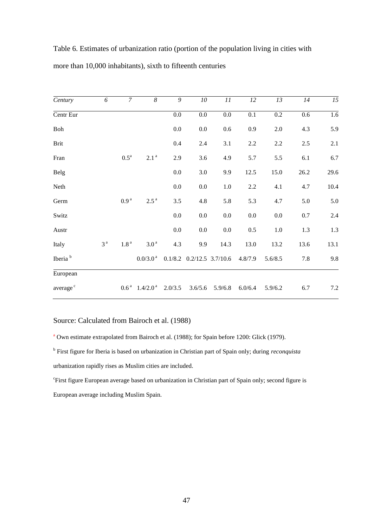| Century              | 6              | $\overline{7}$     | $\overline{\delta}$                   | $\overline{9}$ | $10\,$                        | 11      | 12      | 13      | 14    | $\overline{15}$ |
|----------------------|----------------|--------------------|---------------------------------------|----------------|-------------------------------|---------|---------|---------|-------|-----------------|
| Centr Eur            |                |                    |                                       | 0.0            | $0.0\,$                       | $0.0\,$ | 0.1     | 0.2     | 0.6   | 1.6             |
| Boh                  |                |                    |                                       | 0.0            | 0.0                           | 0.6     | 0.9     | 2.0     | 4.3   | 5.9             |
| Brit                 |                |                    |                                       | 0.4            | 2.4                           | 3.1     | 2.2     | $2.2\,$ | $2.5$ | 2.1             |
| Fran                 |                | $0.5^{\mathrm{a}}$ | 2.1 <sup>a</sup>                      | 2.9            | 3.6                           | 4.9     | 5.7     | 5.5     | 6.1   | 6.7             |
| <b>Belg</b>          |                |                    |                                       | 0.0            | 3.0                           | 9.9     | 12.5    | 15.0    | 26.2  | 29.6            |
| Neth                 |                |                    |                                       | 0.0            | $0.0\,$                       | 1.0     | 2.2     | 4.1     | 4.7   | 10.4            |
| Germ                 |                | 0.9 <sup>a</sup>   | $2.5^{\text{a}}$                      | $3.5$          | 4.8                           | 5.8     | 5.3     | 4.7     | 5.0   | 5.0             |
| Switz                |                |                    |                                       | 0.0            | $0.0\,$                       | $0.0\,$ | $0.0\,$ | $0.0\,$ | 0.7   | 2.4             |
| Austr                |                |                    |                                       | 0.0            | 0.0                           | 0.0     | 0.5     | $1.0\,$ | 1.3   | 1.3             |
| Italy                | 3 <sup>a</sup> | 1.8 <sup>a</sup>   | 3.0 <sup>a</sup>                      | 4.3            | 9.9                           | 14.3    | 13.0    | 13.2    | 13.6  | 13.1            |
| Iberia <sup>b</sup>  |                |                    | $0.0/3.0^{\text{ a}}$                 |                | $0.1/8.2$ $0.2/12.5$ 3.7/10.6 |         | 4.8/7.9 | 5.6/8.5 | 7.8   | 9.8             |
| European             |                |                    |                                       |                |                               |         |         |         |       |                 |
| average <sup>c</sup> |                |                    | $0.6^{\text{a}}$ 1.4/2.0 <sup>a</sup> | 2.0/3.5        | 3.6/5.6                       | 5.9/6.8 | 6.0/6.4 | 5.9/6.2 | 6.7   | $7.2\,$         |

Table 6. Estimates of urbanization ratio (portion of the population living in cities with more than 10,000 inhabitants), sixth to fifteenth centuries

## Source: Calculated from Bairoch et al. (1988)

<sup>a</sup> Own estimate extrapolated from Bairoch et al. (1988); for Spain before 1200: Glick (1979).

b First figure for Iberia is based on urbanization in Christian part of Spain only; during *reconquista*  urbanization rapidly rises as Muslim cities are included.

c First figure European average based on urbanization in Christian part of Spain only; second figure is European average including Muslim Spain.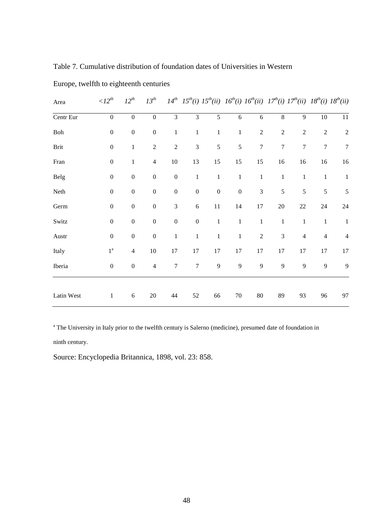Table 7. Cumulative distribution of foundation dates of Universities in Western

| Area       | $\langle l2^{th}$ | $12^{th}$        | $13^{th}$        |                  |                  |                  |                  | $14^{th}~15^{th}(i)~15^{th}(ii)~16^{th}(i)~16^{th}(ii)~17^{th}(i)~17^{th}(ii)~18^{th}(i)~18^{th}(ii)$ |                  |                  |                |                |
|------------|-------------------|------------------|------------------|------------------|------------------|------------------|------------------|-------------------------------------------------------------------------------------------------------|------------------|------------------|----------------|----------------|
| Centr Eur  | $\boldsymbol{0}$  | $\boldsymbol{0}$ | $\boldsymbol{0}$ | $\overline{3}$   | $\mathfrak{Z}$   | 5                | $\sqrt{6}$       | $\sqrt{6}$                                                                                            | $\,$ $\,$        | $\overline{9}$   | $10\,$         | 11             |
| Boh        | $\boldsymbol{0}$  | $\boldsymbol{0}$ | $\boldsymbol{0}$ | $\mathbf{1}$     | $\mathbf{1}$     | $\mathbf{1}$     | $\mathbf{1}$     | $\sqrt{2}$                                                                                            | $\sqrt{2}$       | $\overline{2}$   | $\sqrt{2}$     | $\sqrt{2}$     |
| Brit       | $\boldsymbol{0}$  | $\,1$            | $\sqrt{2}$       | $\sqrt{2}$       | $\mathfrak{Z}$   | 5                | $\sqrt{5}$       | $\overline{7}$                                                                                        | $\boldsymbol{7}$ | $\boldsymbol{7}$ | $\overline{7}$ | $\tau$         |
| Fran       | $\boldsymbol{0}$  | $\,1$            | $\overline{4}$   | $10\,$           | 13               | 15               | 15               | 15                                                                                                    | 16               | 16               | 16             | $16$           |
| Belg       | $\boldsymbol{0}$  | $\boldsymbol{0}$ | $\boldsymbol{0}$ | $\boldsymbol{0}$ | $\,1$            | $\mathbf 1$      | $1\,$            | $\,1\,$                                                                                               | $1\,$            | $\mathbf{1}$     | $\mathbf{1}$   | $\mathbf{1}$   |
| Neth       | $\boldsymbol{0}$  | $\boldsymbol{0}$ | $\boldsymbol{0}$ | $\boldsymbol{0}$ | $\boldsymbol{0}$ | $\boldsymbol{0}$ | $\boldsymbol{0}$ | $\mathfrak{Z}$                                                                                        | 5                | 5                | $\sqrt{5}$     | $\mathfrak s$  |
| Germ       | $\boldsymbol{0}$  | $\boldsymbol{0}$ | $\boldsymbol{0}$ | $\mathfrak{Z}$   | $\sqrt{6}$       | $11\,$           | 14               | 17                                                                                                    | $20\,$           | $22\,$           | $24\,$         | $24\,$         |
| Switz      | $\boldsymbol{0}$  | $\boldsymbol{0}$ | $\boldsymbol{0}$ | $\boldsymbol{0}$ | $\boldsymbol{0}$ | $\mathbf 1$      | $\mathbf 1$      | $\,1\,$                                                                                               | $\mathbf{1}$     | $\mathbf{1}$     | $\mathbf{1}$   | $\mathbf{1}$   |
| Austr      | $\boldsymbol{0}$  | $\boldsymbol{0}$ | $\boldsymbol{0}$ | $\,1$            | $\,1$            | $\mathbf{1}$     | $\mathbf 1$      | $\sqrt{2}$                                                                                            | $\mathfrak{Z}$   | $\overline{4}$   | $\overline{4}$ | $\overline{4}$ |
| Italy      | $1^{\mathrm{a}}$  | $\overline{4}$   | $10\,$           | $17\,$           | $17\,$           | 17               | $17\,$           | $17\,$                                                                                                | 17               | 17               | $17\,$         | 17             |
| Iberia     | $\boldsymbol{0}$  | $\boldsymbol{0}$ | $\overline{4}$   | $\boldsymbol{7}$ | $\sqrt{ }$       | 9                | 9                | 9                                                                                                     | 9                | 9                | 9              | 9              |
| Latin West | $\mathbf{1}$      | $\sqrt{6}$       | $20\,$           | 44               | 52               | 66               | $70\,$           | $80\,$                                                                                                | 89               | 93               | 96             | 97             |

Europe, twelfth to eighteenth centuries

<sup>a</sup> The University in Italy prior to the twelfth century is Salerno (medicine), presumed date of foundation in

ninth century.

Source: Encyclopedia Britannica, 1898, vol. 23: 858.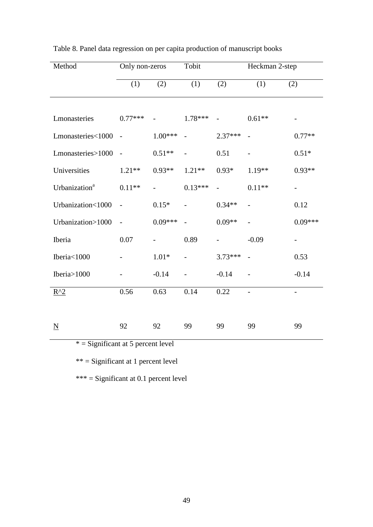| Method                               | Only non-zeros           |           | Tobit                    |           | Heckman 2-step           |                          |  |  |
|--------------------------------------|--------------------------|-----------|--------------------------|-----------|--------------------------|--------------------------|--|--|
|                                      | (1)                      | (2)       | (1)                      | (2)       | (1)                      | (2)                      |  |  |
|                                      |                          |           |                          |           |                          |                          |  |  |
| Lmonasteries                         | $0.77***$                |           | $1.78***$                |           | $0.61**$                 |                          |  |  |
| Lmonasteries<1000                    | $\overline{a}$           | $1.00***$ |                          | $2.37***$ |                          | $0.77**$                 |  |  |
| Lmonasteries>1000                    | $\overline{\phantom{a}}$ | $0.51**$  |                          | 0.51      | $\overline{\phantom{0}}$ | $0.51*$                  |  |  |
| Universities                         | $1.21**$                 | $0.93**$  | $1.21**$                 | $0.93*$   | $1.19**$                 | $0.93**$                 |  |  |
| Urbanization <sup>a</sup>            | $0.11**$                 |           | $0.13***$                |           | $0.11**$                 |                          |  |  |
| Urbanization<1000                    | $\overline{\phantom{0}}$ | $0.15*$   | $\overline{\phantom{0}}$ | $0.34**$  | $\overline{a}$           | 0.12                     |  |  |
| Urbanization>1000                    | $\overline{a}$           | $0.09***$ |                          | $0.09**$  |                          | $0.09***$                |  |  |
| Iberia                               | 0.07                     |           | 0.89                     |           | $-0.09$                  | $\overline{\phantom{0}}$ |  |  |
| Iberia<1000                          |                          | $1.01*$   |                          | $3.73***$ |                          | 0.53                     |  |  |
| Iberia>1000                          |                          | $-0.14$   |                          | $-0.14$   |                          | $-0.14$                  |  |  |
| $R^2$                                | 0.56                     | 0.63      | 0.14                     | 0.22      | $\frac{1}{2}$            | $\overline{\phantom{a}}$ |  |  |
|                                      |                          |           |                          |           |                          |                          |  |  |
| $\underline{N}$                      | 92                       | 92        | 99                       | 99        | 99                       | 99                       |  |  |
| $*$ = Significant at 5 percent level |                          |           |                          |           |                          |                          |  |  |

|  |  |  |  |  | Table 8. Panel data regression on per capita production of manuscript books |  |
|--|--|--|--|--|-----------------------------------------------------------------------------|--|
|  |  |  |  |  |                                                                             |  |

\*\* = Significant at 1 percent level

\*\*\* = Significant at 0.1 percent level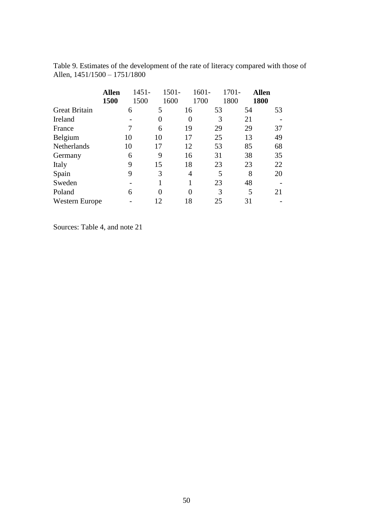|                       | <b>Allen</b> | $1451 -$ |    | $1501 -$ | 1601- | 1701- | <b>Allen</b> |
|-----------------------|--------------|----------|----|----------|-------|-------|--------------|
|                       | 1500         | 1500     |    | 1600     | 1700  | 1800  | 1800         |
| <b>Great Britain</b>  |              | 6        | 5  | 16       | 53    | 54    | 53           |
| Ireland               |              |          | 0  | 0        | 3     | 21    |              |
| France                |              |          | 6  | 19       | 29    | 29    | 37           |
| Belgium               |              | 10       | 10 | 17       | 25    | 13    | 49           |
| Netherlands           |              | 10       | 17 | 12       | 53    | 85    | 68           |
| Germany               |              | 6        | 9  | 16       | 31    | 38    | 35           |
| Italy                 |              | 9        | 15 | 18       | 23    | 23    | 22           |
| Spain                 |              | 9        | 3  | 4        | 5     | 8     | 20           |
| Sweden                |              |          |    |          | 23    | 48    |              |
| Poland                |              | 6        | 0  | 0        | 3     | 5     | 21           |
| <b>Western Europe</b> |              |          | 12 | 18       | 25    | 31    |              |

Table 9. Estimates of the development of the rate of literacy compared with those of Allen, 1451/1500 – 1751/1800

Sources: Table 4, and note 21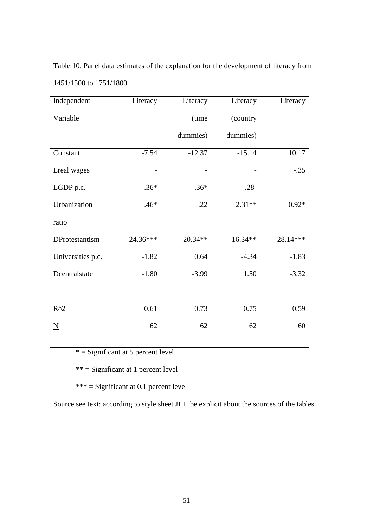Table 10. Panel data estimates of the explanation for the development of literacy from 1451/1500 to 1751/1800

| Independent              | Literacy | Literacy | Literacy | Literacy |
|--------------------------|----------|----------|----------|----------|
| Variable                 |          | (time    | (country |          |
|                          |          | dummies) | dummies) |          |
| Constant                 | $-7.54$  | $-12.37$ | $-15.14$ | 10.17    |
| Lreal wages              |          |          |          | $-.35$   |
| LGDP p.c.                | $.36*$   | $.36*$   | .28      |          |
| Urbanization             | $.46*$   | .22      | $2.31**$ | $0.92*$  |
| ratio                    |          |          |          |          |
| DProtestantism           | 24.36*** | 20.34**  | 16.34**  | 28.14*** |
| Universities p.c.        | $-1.82$  | 0.64     | $-4.34$  | $-1.83$  |
| Dcentralstate            | $-1.80$  | $-3.99$  | 1.50     | $-3.32$  |
|                          |          |          |          |          |
| $R^2$                    | 0.61     | 0.73     | 0.75     | 0.59     |
| $\underline{\mathbf{N}}$ | 62       | 62       | 62       | 60       |
|                          |          |          |          |          |

 $* =$  Significant at 5 percent level

\*\* = Significant at 1 percent level

\*\*\* = Significant at 0.1 percent level

Source see text: according to style sheet JEH be explicit about the sources of the tables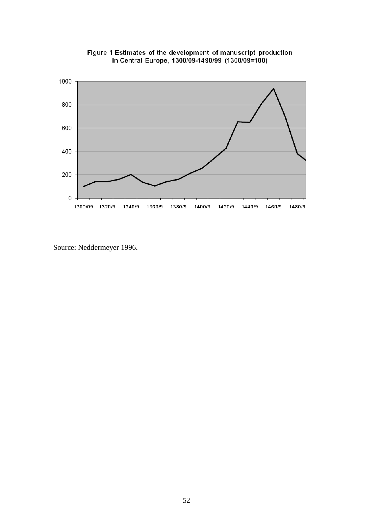



Source: Neddermeyer 1996.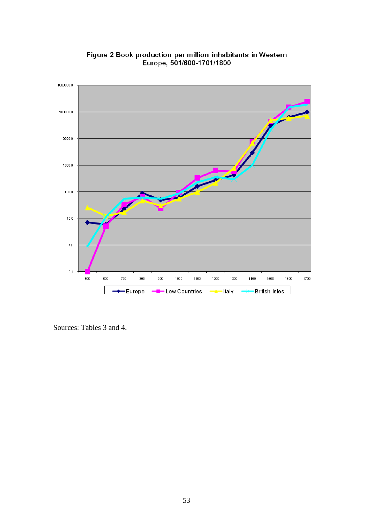

Figure 2 Book production per million inhabitants in Western<br>Europe, 501/600-1701/1800

Sources: Tables 3 and 4.